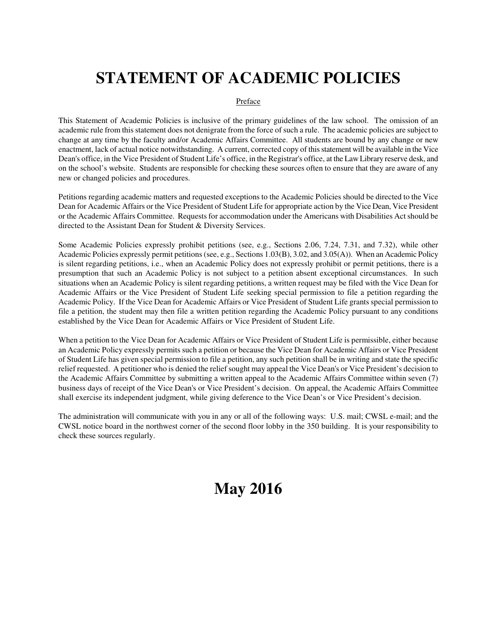# **STATEMENT OF ACADEMIC POLICIES**

## Preface

This Statement of Academic Policies is inclusive of the primary guidelines of the law school. The omission of an academic rule from this statement does not denigrate from the force of such a rule. The academic policies are subject to change at any time by the faculty and/or Academic Affairs Committee. All students are bound by any change or new enactment, lack of actual notice notwithstanding. A current, corrected copy of this statement will be available in the Vice Dean's office, in the Vice President of Student Life's office, in the Registrar's office, at the Law Library reserve desk, and on the school's website. Students are responsible for checking these sources often to ensure that they are aware of any new or changed policies and procedures.

Petitions regarding academic matters and requested exceptions to the Academic Policies should be directed to the Vice Dean for Academic Affairs or the Vice President of Student Life for appropriate action by the Vice Dean, Vice President or the Academic Affairs Committee. Requests for accommodation under the Americans with Disabilities Act should be directed to the Assistant Dean for Student & Diversity Services.

Some Academic Policies expressly prohibit petitions (see, e.g., Sections 2.06, 7.24, 7.31, and 7.32), while other Academic Policies expressly permit petitions (see, e.g., Sections 1.03(B), 3.02, and 3.05(A)). When an Academic Policy is silent regarding petitions, i.e., when an Academic Policy does not expressly prohibit or permit petitions, there is a presumption that such an Academic Policy is not subject to a petition absent exceptional circumstances. In such situations when an Academic Policy is silent regarding petitions, a written request may be filed with the Vice Dean for Academic Affairs or the Vice President of Student Life seeking special permission to file a petition regarding the Academic Policy. If the Vice Dean for Academic Affairs or Vice President of Student Life grants special permission to file a petition, the student may then file a written petition regarding the Academic Policy pursuant to any conditions established by the Vice Dean for Academic Affairs or Vice President of Student Life.

When a petition to the Vice Dean for Academic Affairs or Vice President of Student Life is permissible, either because an Academic Policy expressly permits such a petition or because the Vice Dean for Academic Affairs or Vice President of Student Life has given special permission to file a petition, any such petition shall be in writing and state the specific relief requested. A petitioner who is denied the relief sought may appeal the Vice Dean's or Vice President's decision to the Academic Affairs Committee by submitting a written appeal to the Academic Affairs Committee within seven (7) business days of receipt of the Vice Dean's or Vice President's decision. On appeal, the Academic Affairs Committee shall exercise its independent judgment, while giving deference to the Vice Dean's or Vice President's decision.

The administration will communicate with you in any or all of the following ways: U.S. mail; CWSL e-mail; and the CWSL notice board in the northwest corner of the second floor lobby in the 350 building. It is your responsibility to check these sources regularly.

# **May 2016**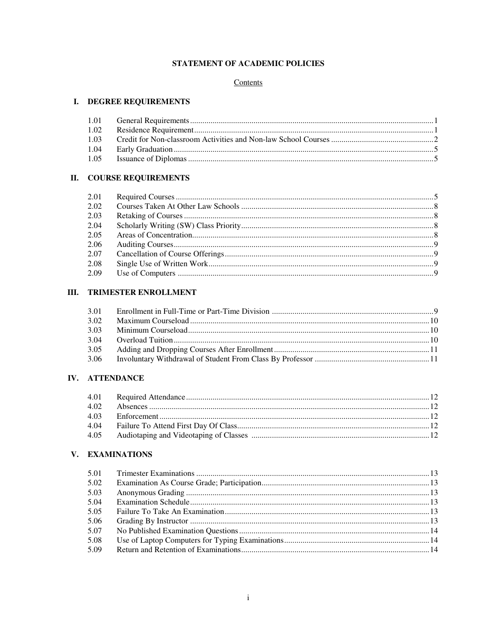# STATEMENT OF ACADEMIC POLICIES

# Contents

# I. DEGREE REQUIREMENTS

# **II. COURSE REQUIREMENTS**

| 2.02 |  |
|------|--|
| 2.03 |  |
| 2.04 |  |
| 2.05 |  |
| 2.06 |  |
| 2.07 |  |
| 2.08 |  |
| 2.09 |  |
|      |  |

# **III. TRIMESTER ENROLLMENT**

| 3.02 |  |
|------|--|
| 3.03 |  |
| 3.04 |  |
| 3.05 |  |
|      |  |

# IV. ATTENDANCE

| 4.04 |  |
|------|--|
|      |  |

# V. EXAMINATIONS

| 5.01 |  |
|------|--|
| 5.02 |  |
| 5.03 |  |
| 5.04 |  |
| 5.05 |  |
| 5.06 |  |
| 5.07 |  |
| 5.08 |  |
| 5.09 |  |
|      |  |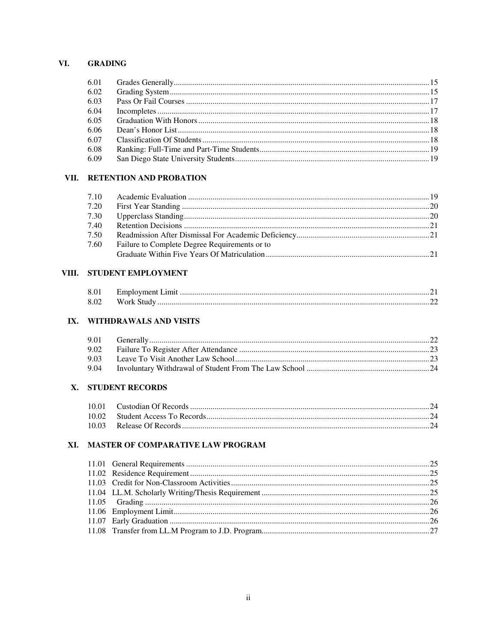# VI. GRADING

| 6.02 |  |
|------|--|
| 6.03 |  |
| 6.04 |  |
| 6.05 |  |
| 6.06 |  |
| 6.07 |  |
| 6.08 |  |
| 6.09 |  |
|      |  |

# VII. RETENTION AND PROBATION

| 7.20 |                                               |  |
|------|-----------------------------------------------|--|
| 7.30 |                                               |  |
| 7.40 |                                               |  |
| 7.50 |                                               |  |
| 7.60 | Failure to Complete Degree Requirements or to |  |
|      |                                               |  |

# VIII. STUDENT EMPLOYMENT

| 8.01 |            |  |
|------|------------|--|
| 8.02 | Work Study |  |

# IX. WITHDRAWALS AND VISITS

# X. STUDENT RECORDS

# XI. MASTER OF COMPARATIVE LAW PROGRAM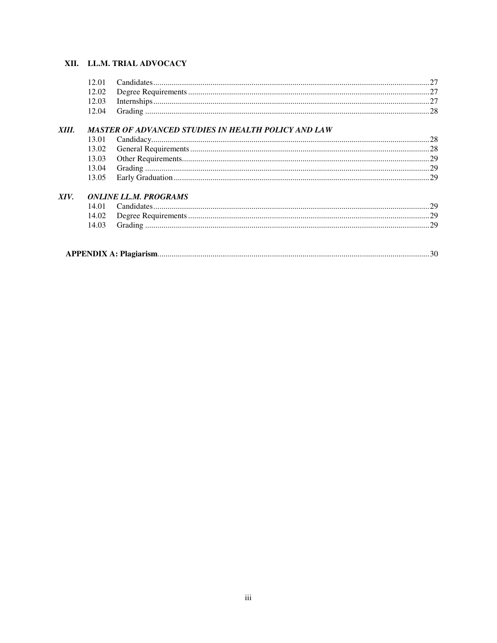# XII. LL.M. TRIAL ADVOCACY

# XIII. MASTER OF ADVANCED STUDIES IN HEALTH POLICY AND LAW

# XIV. ONLINE LL.M. PROGRAMS

|--|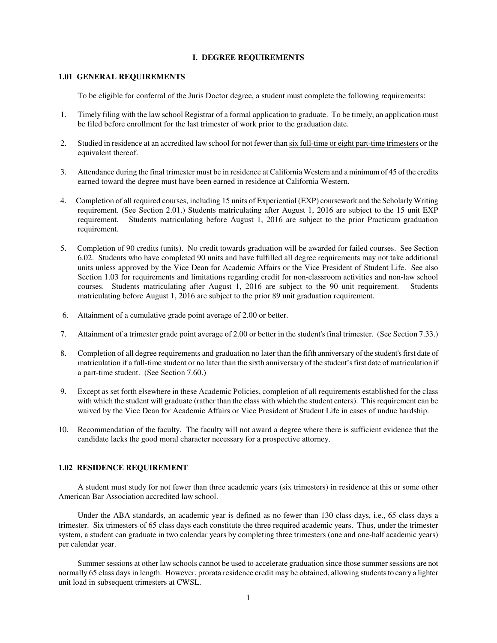#### **I. DEGREE REQUIREMENTS**

#### **1.01 GENERAL REQUIREMENTS**

To be eligible for conferral of the Juris Doctor degree, a student must complete the following requirements:

- 1. Timely filing with the law school Registrar of a formal application to graduate. To be timely, an application must be filed before enrollment for the last trimester of work prior to the graduation date.
- 2. Studied in residence at an accredited law school for not fewer than six full-time or eight part-time trimesters or the equivalent thereof.
- 3. Attendance during the final trimester must be in residence at California Western and a minimum of 45 of the credits earned toward the degree must have been earned in residence at California Western.
- 4. Completion of all required courses, including 15 units of Experiential (EXP) coursework and the Scholarly Writing requirement. (See Section 2.01.) Students matriculating after August 1, 2016 are subject to the 15 unit EXP requirement. Students matriculating before August 1, 2016 are subject to the prior Practicum graduation requirement.
- 5. Completion of 90 credits (units). No credit towards graduation will be awarded for failed courses. See Section 6.02. Students who have completed 90 units and have fulfilled all degree requirements may not take additional units unless approved by the Vice Dean for Academic Affairs or the Vice President of Student Life. See also Section 1.03 for requirements and limitations regarding credit for non-classroom activities and non-law school courses. Students matriculating after August 1, 2016 are subject to the 90 unit requirement. Students matriculating before August 1, 2016 are subject to the prior 89 unit graduation requirement.
- 6. Attainment of a cumulative grade point average of 2.00 or better.
- 7. Attainment of a trimester grade point average of 2.00 or better in the student's final trimester. (See Section 7.33.)
- 8. Completion of all degree requirements and graduation no later than the fifth anniversary of the student's first date of matriculation if a full-time student or no later than the sixth anniversary of the student's first date of matriculation if a part-time student. (See Section 7.60.)
- 9. Except as set forth elsewhere in these Academic Policies, completion of all requirements established for the class with which the student will graduate (rather than the class with which the student enters). This requirement can be waived by the Vice Dean for Academic Affairs or Vice President of Student Life in cases of undue hardship.
- 10. Recommendation of the faculty. The faculty will not award a degree where there is sufficient evidence that the candidate lacks the good moral character necessary for a prospective attorney.

#### **1.02 RESIDENCE REQUIREMENT**

A student must study for not fewer than three academic years (six trimesters) in residence at this or some other American Bar Association accredited law school.

Under the ABA standards, an academic year is defined as no fewer than 130 class days, i.e., 65 class days a trimester. Six trimesters of 65 class days each constitute the three required academic years. Thus, under the trimester system, a student can graduate in two calendar years by completing three trimesters (one and one-half academic years) per calendar year.

Summer sessions at other law schools cannot be used to accelerate graduation since those summer sessions are not normally 65 class days in length. However, prorata residence credit may be obtained, allowing students to carry a lighter unit load in subsequent trimesters at CWSL.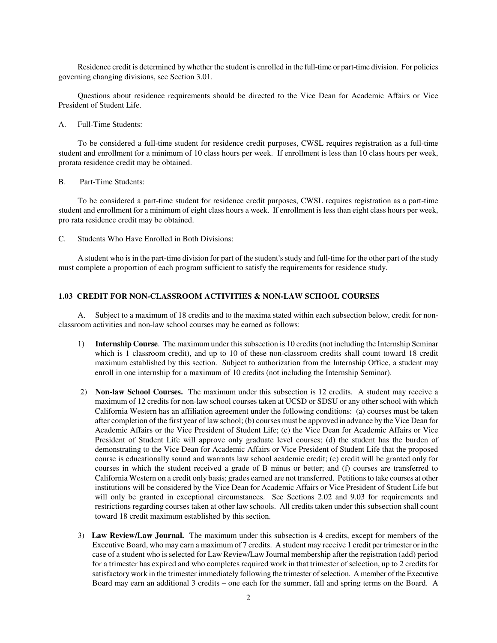Residence credit is determined by whether the student is enrolled in the full-time or part-time division. For policies governing changing divisions, see Section 3.01.

Questions about residence requirements should be directed to the Vice Dean for Academic Affairs or Vice President of Student Life.

A. Full-Time Students:

To be considered a full-time student for residence credit purposes, CWSL requires registration as a full-time student and enrollment for a minimum of 10 class hours per week. If enrollment is less than 10 class hours per week, prorata residence credit may be obtained.

B. Part-Time Students:

To be considered a part-time student for residence credit purposes, CWSL requires registration as a part-time student and enrollment for a minimum of eight class hours a week. If enrollment is less than eight class hours per week, pro rata residence credit may be obtained.

C. Students Who Have Enrolled in Both Divisions:

A student who is in the part-time division for part of the student's study and full-time for the other part of the study must complete a proportion of each program sufficient to satisfy the requirements for residence study.

## **1.03 CREDIT FOR NON-CLASSROOM ACTIVITIES & NON-LAW SCHOOL COURSES**

A. Subject to a maximum of 18 credits and to the maxima stated within each subsection below, credit for nonclassroom activities and non-law school courses may be earned as follows:

- 1) **Internship Course**. The maximum under this subsection is 10 credits (not including the Internship Seminar which is 1 classroom credit), and up to 10 of these non-classroom credits shall count toward 18 credit maximum established by this section. Subject to authorization from the Internship Office, a student may enroll in one internship for a maximum of 10 credits (not including the Internship Seminar).
- 2) **Non-law School Courses.** The maximum under this subsection is 12 credits. A student may receive a maximum of 12 credits for non-law school courses taken at UCSD or SDSU or any other school with which California Western has an affiliation agreement under the following conditions: (a) courses must be taken after completion of the first year of law school; (b) courses must be approved in advance by the Vice Dean for Academic Affairs or the Vice President of Student Life; (c) the Vice Dean for Academic Affairs or Vice President of Student Life will approve only graduate level courses; (d) the student has the burden of demonstrating to the Vice Dean for Academic Affairs or Vice President of Student Life that the proposed course is educationally sound and warrants law school academic credit; (e) credit will be granted only for courses in which the student received a grade of B minus or better; and (f) courses are transferred to California Western on a credit only basis; grades earned are not transferred. Petitions to take courses at other institutions will be considered by the Vice Dean for Academic Affairs or Vice President of Student Life but will only be granted in exceptional circumstances. See Sections 2.02 and 9.03 for requirements and restrictions regarding courses taken at other law schools. All credits taken under this subsection shall count toward 18 credit maximum established by this section.
- 3) **Law Review/Law Journal.** The maximum under this subsection is 4 credits, except for members of the Executive Board, who may earn a maximum of 7 credits. A student may receive 1 credit per trimester or in the case of a student who is selected for Law Review/Law Journal membership after the registration (add) period for a trimester has expired and who completes required work in that trimester of selection, up to 2 credits for satisfactory work in the trimester immediately following the trimester of selection. A member of the Executive Board may earn an additional 3 credits – one each for the summer, fall and spring terms on the Board. A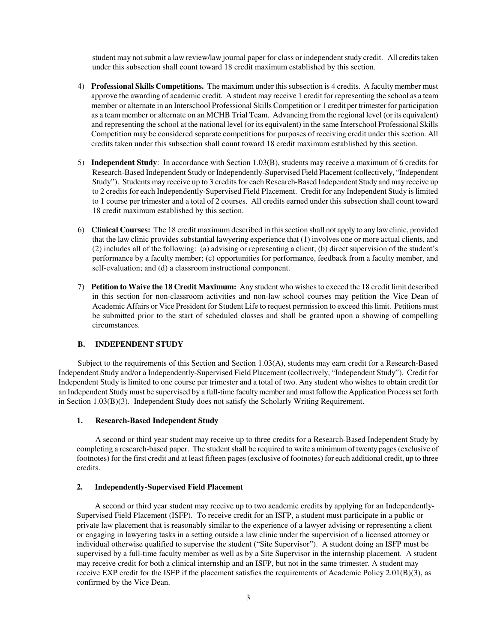student may not submit a law review/law journal paper for class or independent study credit. All credits taken under this subsection shall count toward 18 credit maximum established by this section.

- 4) **Professional Skills Competitions.** The maximum under this subsection is 4 credits. A faculty member must approve the awarding of academic credit. A student may receive 1 credit for representing the school as a team member or alternate in an Interschool Professional Skills Competition or 1 credit per trimester for participation as a team member or alternate on an MCHB Trial Team. Advancing from the regional level (or its equivalent) and representing the school at the national level (or its equivalent) in the same Interschool Professional Skills Competition may be considered separate competitions for purposes of receiving credit under this section. All credits taken under this subsection shall count toward 18 credit maximum established by this section.
- 5) **Independent Study**: In accordance with Section 1.03(B), students may receive a maximum of 6 credits for Research-Based Independent Study or Independently-Supervised Field Placement (collectively, "Independent Study"). Students may receive up to 3 credits for each Research-Based Independent Study and may receive up to 2 credits for each Independently-Supervised Field Placement. Credit for any Independent Study is limited to 1 course per trimester and a total of 2 courses. All credits earned under this subsection shall count toward 18 credit maximum established by this section.
- 6) **Clinical Courses:** The 18 credit maximum described in this section shall not apply to any law clinic, provided that the law clinic provides substantial lawyering experience that (1) involves one or more actual clients, and (2) includes all of the following: (a) advising or representing a client; (b) direct supervision of the student's performance by a faculty member; (c) opportunities for performance, feedback from a faculty member, and self-evaluation; and (d) a classroom instructional component.
- 7) **Petition to Waive the 18 Credit Maximum:** Any student who wishes to exceed the 18 credit limit described in this section for non-classroom activities and non-law school courses may petition the Vice Dean of Academic Affairs or Vice President for Student Life to request permission to exceed this limit. Petitions must be submitted prior to the start of scheduled classes and shall be granted upon a showing of compelling circumstances.

# **B. INDEPENDENT STUDY**

Subject to the requirements of this Section and Section 1.03(A), students may earn credit for a Research-Based Independent Study and/or a Independently-Supervised Field Placement (collectively, "Independent Study"). Credit for Independent Study is limited to one course per trimester and a total of two. Any student who wishes to obtain credit for an Independent Study must be supervised by a full-time faculty member and must follow the Application Process set forth in Section 1.03(B)(3). Independent Study does not satisfy the Scholarly Writing Requirement.

#### **1. Research-Based Independent Study**

 A second or third year student may receive up to three credits for a Research-Based Independent Study by completing a research-based paper. The student shall be required to write a minimum of twenty pages (exclusive of footnotes) for the first credit and at least fifteen pages (exclusive of footnotes) for each additional credit, up to three credits.

#### **2. Independently-Supervised Field Placement**

A second or third year student may receive up to two academic credits by applying for an Independently-Supervised Field Placement (ISFP). To receive credit for an ISFP, a student must participate in a public or private law placement that is reasonably similar to the experience of a lawyer advising or representing a client or engaging in lawyering tasks in a setting outside a law clinic under the supervision of a licensed attorney or individual otherwise qualified to supervise the student ("Site Supervisor"). A student doing an ISFP must be supervised by a full-time faculty member as well as by a Site Supervisor in the internship placement. A student may receive credit for both a clinical internship and an ISFP, but not in the same trimester. A student may receive EXP credit for the ISFP if the placement satisfies the requirements of Academic Policy 2.01(B)(3), as confirmed by the Vice Dean.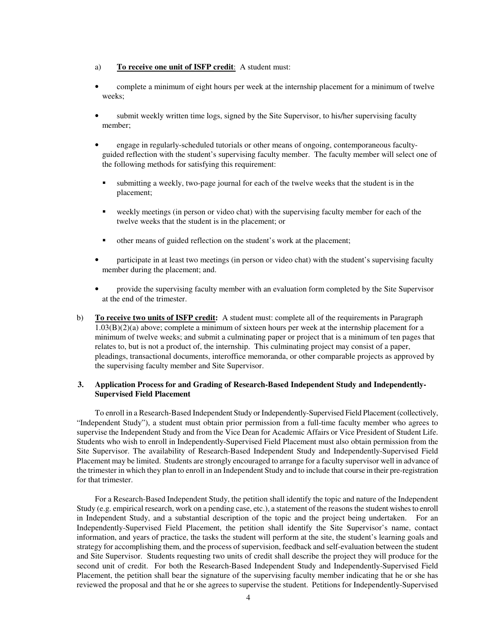#### a) **To receive one unit of ISFP credit**: A student must:

- complete a minimum of eight hours per week at the internship placement for a minimum of twelve weeks;
- submit weekly written time logs, signed by the Site Supervisor, to his/her supervising faculty member;
- engage in regularly-scheduled tutorials or other means of ongoing, contemporaneous facultyguided reflection with the student's supervising faculty member. The faculty member will select one of the following methods for satisfying this requirement:
	- submitting a weekly, two-page journal for each of the twelve weeks that the student is in the placement;
	- weekly meetings (in person or video chat) with the supervising faculty member for each of the twelve weeks that the student is in the placement; or
	- other means of guided reflection on the student's work at the placement;
- participate in at least two meetings (in person or video chat) with the student's supervising faculty member during the placement; and.
- provide the supervising faculty member with an evaluation form completed by the Site Supervisor at the end of the trimester.
- b) **To receive two units of ISFP credit:** A student must: complete all of the requirements in Paragraph 1.03(B)(2)(a) above; complete a minimum of sixteen hours per week at the internship placement for a minimum of twelve weeks; and submit a culminating paper or project that is a minimum of ten pages that relates to, but is not a product of, the internship. This culminating project may consist of a paper, pleadings, transactional documents, interoffice memoranda, or other comparable projects as approved by the supervising faculty member and Site Supervisor.

## **3. Application Process for and Grading of Research-Based Independent Study and Independently-Supervised Field Placement**

To enroll in a Research-Based Independent Study or Independently-Supervised Field Placement (collectively, "Independent Study"), a student must obtain prior permission from a full-time faculty member who agrees to supervise the Independent Study and from the Vice Dean for Academic Affairs or Vice President of Student Life. Students who wish to enroll in Independently-Supervised Field Placement must also obtain permission from the Site Supervisor. The availability of Research-Based Independent Study and Independently-Supervised Field Placement may be limited. Students are strongly encouraged to arrange for a faculty supervisor well in advance of the trimester in which they plan to enroll in an Independent Study and to include that course in their pre-registration for that trimester.

For a Research-Based Independent Study, the petition shall identify the topic and nature of the Independent Study (e.g. empirical research, work on a pending case, etc.), a statement of the reasons the student wishes to enroll in Independent Study, and a substantial description of the topic and the project being undertaken. For an Independently-Supervised Field Placement, the petition shall identify the Site Supervisor's name, contact information, and years of practice, the tasks the student will perform at the site, the student's learning goals and strategy for accomplishing them, and the process of supervision, feedback and self-evaluation between the student and Site Supervisor. Students requesting two units of credit shall describe the project they will produce for the second unit of credit. For both the Research-Based Independent Study and Independently-Supervised Field Placement, the petition shall bear the signature of the supervising faculty member indicating that he or she has reviewed the proposal and that he or she agrees to supervise the student. Petitions for Independently-Supervised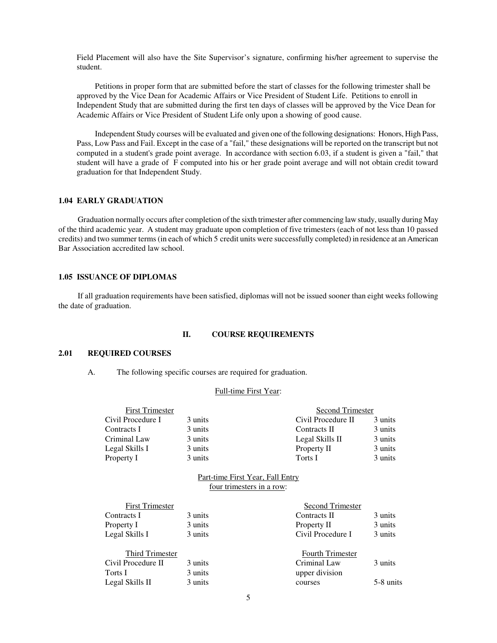Field Placement will also have the Site Supervisor's signature, confirming his/her agreement to supervise the student.

Petitions in proper form that are submitted before the start of classes for the following trimester shall be approved by the Vice Dean for Academic Affairs or Vice President of Student Life. Petitions to enroll in Independent Study that are submitted during the first ten days of classes will be approved by the Vice Dean for Academic Affairs or Vice President of Student Life only upon a showing of good cause.

Independent Study courses will be evaluated and given one of the following designations: Honors, High Pass, Pass, Low Pass and Fail. Except in the case of a "fail," these designations will be reported on the transcript but not computed in a student's grade point average. In accordance with section 6.03, if a student is given a "fail," that student will have a grade of F computed into his or her grade point average and will not obtain credit toward graduation for that Independent Study.

# **1.04 EARLY GRADUATION**

Graduation normally occurs after completion of the sixth trimester after commencing law study, usually during May of the third academic year. A student may graduate upon completion of five trimesters (each of not less than 10 passed credits) and two summer terms (in each of which 5 credit units were successfully completed) in residence at an American Bar Association accredited law school.

#### **1.05 ISSUANCE OF DIPLOMAS**

If all graduation requirements have been satisfied, diplomas will not be issued sooner than eight weeks following the date of graduation.

#### **II. COURSE REQUIREMENTS**

#### **2.01 REQUIRED COURSES**

A. The following specific courses are required for graduation.

#### Full-time First Year:

| <b>First Trimester</b> |         | Second Trimester   |         |
|------------------------|---------|--------------------|---------|
| Civil Procedure I      | 3 units | Civil Procedure II | 3 units |
| Contracts I            | 3 units | Contracts II       | 3 units |
| Criminal Law           | 3 units | Legal Skills II    | 3 units |
| Legal Skills I         | 3 units | Property II        | 3 units |
| Property I             | 3 units | Torts I            | 3 units |

#### Part-time First Year, Fall Entry four trimesters in a row:

| <b>First Trimester</b> |         | Second Trimester        |           |
|------------------------|---------|-------------------------|-----------|
| Contracts I            | 3 units | Contracts II            | 3 units   |
| Property I             | 3 units | Property II             | 3 units   |
| Legal Skills I         | 3 units | Civil Procedure I       | 3 units   |
| Third Trimester        |         | <b>Fourth Trimester</b> |           |
| Civil Procedure II     | 3 units | Criminal Law            | 3 units   |
| Torts I                | 3 units | upper division          |           |
| Legal Skills II        | 3 units | courses                 | 5-8 units |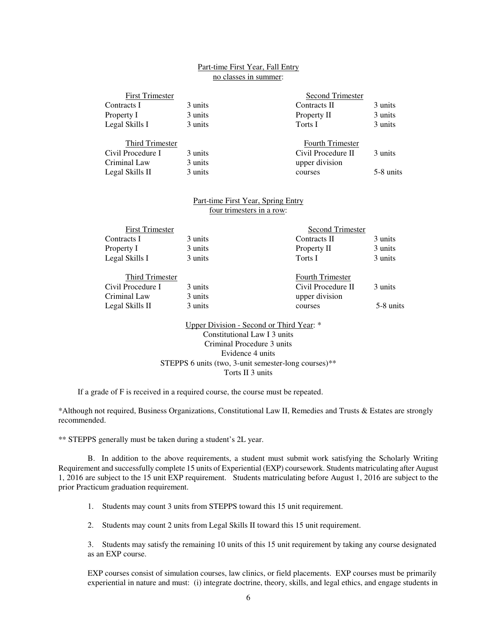#### Part-time First Year, Fall Entry no classes in summer:

| <b>First Trimester</b> |         | Second Trimester        |           |
|------------------------|---------|-------------------------|-----------|
| Contracts I            | 3 units | Contracts II            | 3 units   |
| Property I             | 3 units | Property II             | 3 units   |
| Legal Skills I         | 3 units | Torts I                 | 3 units   |
| Third Trimester        |         | <b>Fourth Trimester</b> |           |
| Civil Procedure I      | 3 units | Civil Procedure II      | 3 units   |
| Criminal Law           | 3 units | upper division          |           |
| Legal Skills II        | 3 units | courses                 | 5-8 units |

#### Part-time First Year, Spring Entry four trimesters in a row:

| <b>First Trimester</b> |         | Second Trimester        |           |
|------------------------|---------|-------------------------|-----------|
| Contracts I            | 3 units | Contracts II            | 3 units   |
| Property I             | 3 units | Property II             | 3 units   |
| Legal Skills I         | 3 units | Torts I                 | 3 units   |
| <b>Third Trimester</b> |         | <b>Fourth Trimester</b> |           |
| Civil Procedure I      | 3 units | Civil Procedure II      | 3 units   |
| Criminal Law           | 3 units | upper division          |           |
| Legal Skills II        | 3 units | courses                 | 5-8 units |
|                        |         |                         |           |

 Upper Division - Second or Third Year: \* Constitutional Law I 3 units Criminal Procedure 3 units Evidence 4 units STEPPS 6 units (two, 3-unit semester-long courses)\*\* Torts II 3 units

If a grade of F is received in a required course, the course must be repeated.

\*Although not required, Business Organizations, Constitutional Law II, Remedies and Trusts & Estates are strongly recommended.

\*\* STEPPS generally must be taken during a student's 2L year.

 B. In addition to the above requirements, a student must submit work satisfying the Scholarly Writing Requirement and successfully complete 15 units of Experiential (EXP) coursework. Students matriculating after August 1, 2016 are subject to the 15 unit EXP requirement. Students matriculating before August 1, 2016 are subject to the prior Practicum graduation requirement.

1. Students may count 3 units from STEPPS toward this 15 unit requirement.

2. Students may count 2 units from Legal Skills II toward this 15 unit requirement.

 3. Students may satisfy the remaining 10 units of this 15 unit requirement by taking any course designated as an EXP course.

EXP courses consist of simulation courses, law clinics, or field placements. EXP courses must be primarily experiential in nature and must: (i) integrate doctrine, theory, skills, and legal ethics, and engage students in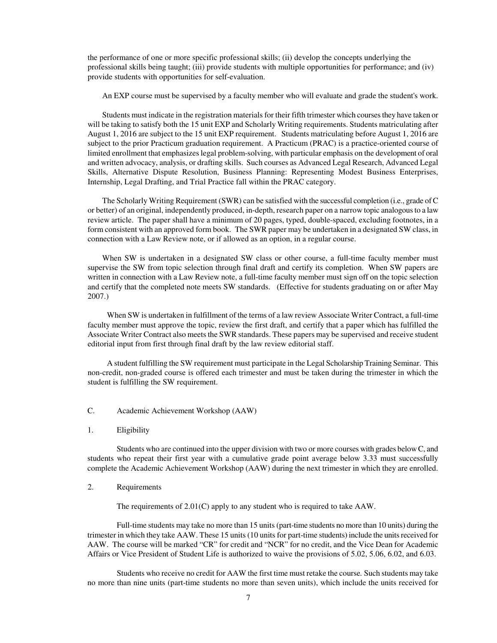the performance of one or more specific professional skills; (ii) develop the concepts underlying the professional skills being taught; (iii) provide students with multiple opportunities for performance; and (iv) provide students with opportunities for self-evaluation.

An EXP course must be supervised by a faculty member who will evaluate and grade the student's work.

Students must indicate in the registration materials for their fifth trimester which courses they have taken or will be taking to satisfy both the 15 unit EXP and Scholarly Writing requirements. Students matriculating after August 1, 2016 are subject to the 15 unit EXP requirement. Students matriculating before August 1, 2016 are subject to the prior Practicum graduation requirement. A Practicum (PRAC) is a practice-oriented course of limited enrollment that emphasizes legal problem-solving, with particular emphasis on the development of oral and written advocacy, analysis, or drafting skills. Such courses as Advanced Legal Research, Advanced Legal Skills, Alternative Dispute Resolution, Business Planning: Representing Modest Business Enterprises, Internship, Legal Drafting, and Trial Practice fall within the PRAC category.

The Scholarly Writing Requirement (SWR) can be satisfied with the successful completion (i.e., grade of C or better) of an original, independently produced, in-depth, research paper on a narrow topic analogous to a law review article. The paper shall have a minimum of 20 pages, typed, double-spaced, excluding footnotes, in a form consistent with an approved form book. The SWR paper may be undertaken in a designated SW class, in connection with a Law Review note, or if allowed as an option, in a regular course.

When SW is undertaken in a designated SW class or other course, a full-time faculty member must supervise the SW from topic selection through final draft and certify its completion. When SW papers are written in connection with a Law Review note, a full-time faculty member must sign off on the topic selection and certify that the completed note meets SW standards. (Effective for students graduating on or after May 2007.)

When SW is undertaken in fulfillment of the terms of a law review Associate Writer Contract, a full-time faculty member must approve the topic, review the first draft, and certify that a paper which has fulfilled the Associate Writer Contract also meets the SWR standards. These papers may be supervised and receive student editorial input from first through final draft by the law review editorial staff.

A student fulfilling the SW requirement must participate in the Legal Scholarship Training Seminar. This non-credit, non-graded course is offered each trimester and must be taken during the trimester in which the student is fulfilling the SW requirement.

- C. Academic Achievement Workshop (AAW)
- 1. Eligibility

Students who are continued into the upper division with two or more courses with grades below C, and students who repeat their first year with a cumulative grade point average below 3.33 must successfully complete the Academic Achievement Workshop (AAW) during the next trimester in which they are enrolled.

2. Requirements

The requirements of 2.01(C) apply to any student who is required to take AAW.

Full-time students may take no more than 15 units (part-time students no more than 10 units) during the trimester in which they take AAW. These 15 units (10 units for part-time students) include the units received for AAW. The course will be marked "CR" for credit and "NCR" for no credit, and the Vice Dean for Academic Affairs or Vice President of Student Life is authorized to waive the provisions of 5.02, 5.06, 6.02, and 6.03.

Students who receive no credit for AAW the first time must retake the course*.* Such students may take no more than nine units (part-time students no more than seven units), which include the units received for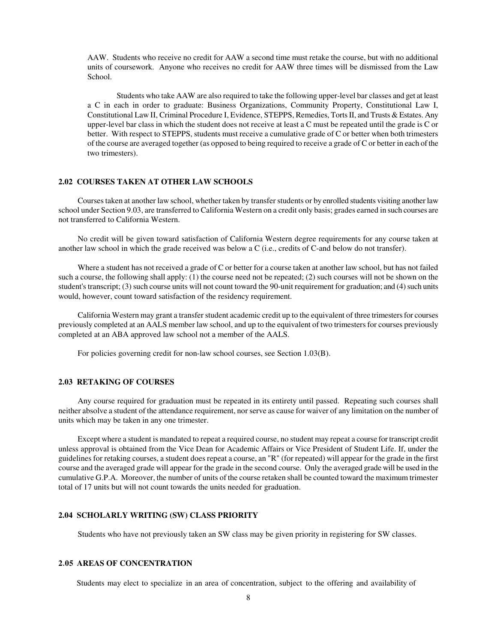AAW. Students who receive no credit for AAW a second time must retake the course, but with no additional units of coursework. Anyone who receives no credit for AAW three times will be dismissed from the Law School.

Students who take AAW are also required to take the following upper-level bar classes and get at least a C in each in order to graduate: Business Organizations, Community Property, Constitutional Law I, Constitutional Law II, Criminal Procedure I, Evidence, STEPPS, Remedies, Torts II, and Trusts & Estates. Any upper-level bar class in which the student does not receive at least a C must be repeated until the grade is C or better. With respect to STEPPS, students must receive a cumulative grade of C or better when both trimesters of the course are averaged together (as opposed to being required to receive a grade of C or better in each of the two trimesters).

#### **2.02 COURSES TAKEN AT OTHER LAW SCHOOLS**

Courses taken at another law school, whether taken by transfer students or by enrolled students visiting another law school under Section 9.03, are transferred to California Western on a credit only basis; grades earned in such courses are not transferred to California Western.

No credit will be given toward satisfaction of California Western degree requirements for any course taken at another law school in which the grade received was below a C (i.e., credits of C-and below do not transfer).

Where a student has not received a grade of C or better for a course taken at another law school, but has not failed such a course, the following shall apply: (1) the course need not be repeated; (2) such courses will not be shown on the student's transcript; (3) such course units will not count toward the 90-unit requirement for graduation; and (4) such units would, however, count toward satisfaction of the residency requirement.

California Western may grant a transfer student academic credit up to the equivalent of three trimesters for courses previously completed at an AALS member law school, and up to the equivalent of two trimesters for courses previously completed at an ABA approved law school not a member of the AALS.

For policies governing credit for non-law school courses, see Section 1.03(B).

## **2.03 RETAKING OF COURSES**

Any course required for graduation must be repeated in its entirety until passed. Repeating such courses shall neither absolve a student of the attendance requirement, nor serve as cause for waiver of any limitation on the number of units which may be taken in any one trimester.

Except where a student is mandated to repeat a required course, no student may repeat a course for transcript credit unless approval is obtained from the Vice Dean for Academic Affairs or Vice President of Student Life. If, under the guidelines for retaking courses, a student does repeat a course, an "R" (for repeated) will appear for the grade in the first course and the averaged grade will appear for the grade in the second course. Only the averaged grade will be used in the cumulative G.P.A. Moreover, the number of units of the course retaken shall be counted toward the maximum trimester total of 17 units but will not count towards the units needed for graduation.

## **2.04 SCHOLARLY WRITING (SW) CLASS PRIORITY**

Students who have not previously taken an SW class may be given priority in registering for SW classes.

# **2.05 AREAS OF CONCENTRATION**

Students may elect to specialize in an area of concentration, subject to the offering and availability of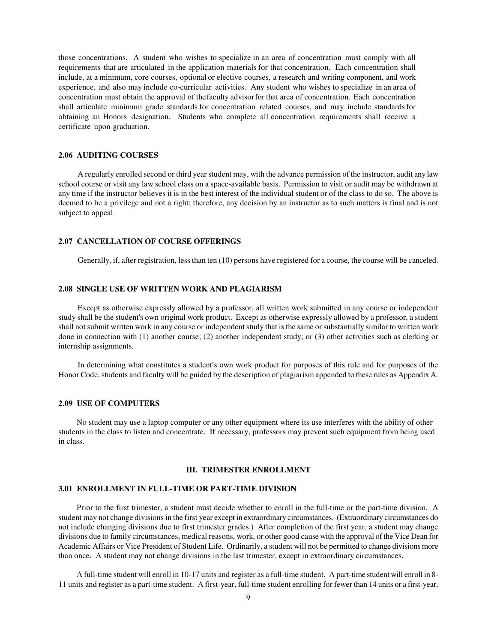those concentrations. A student who wishes to specialize in an area of concentration must comply with all requirements that are articulated in the application materials for that concentration. Each concentration shall include, at a minimum, core courses, optional or elective courses, a research and writing component, and work experience, and also may include co-curricular activities. Any student who wishes to specialize in an area of concentration must obtain the approval of the faculty advisor for that area of concentration. Each concentration shall articulate minimum grade standards for concentration related courses, and may include standards for obtaining an Honors designation. Students who complete all concentration requirements shall receive a certificate upon graduation.

## **2.06 AUDITING COURSES**

A regularly enrolled second or third year student may, with the advance permission of the instructor, audit any law school course or visit any law school class on a space-available basis. Permission to visit or audit may be withdrawn at any time if the instructor believes it is in the best interest of the individual student or of the class to do so. The above is deemed to be a privilege and not a right; therefore, any decision by an instructor as to such matters is final and is not subject to appeal.

## **2.07 CANCELLATION OF COURSE OFFERINGS**

Generally, if, after registration, less than ten (10) persons have registered for a course, the course will be canceled.

#### **2.08 SINGLE USE OF WRITTEN WORK AND PLAGIARISM**

Except as otherwise expressly allowed by a professor, all written work submitted in any course or independent study shall be the student's own original work product. Except as otherwise expressly allowed by a professor, a student shall not submit written work in any course or independent study that is the same or substantially similar to written work done in connection with (1) another course; (2) another independent study; or (3) other activities such as clerking or internship assignments.

In determining what constitutes a student's own work product for purposes of this rule and for purposes of the Honor Code, students and faculty will be guided by the description of plagiarism appended to these rules as Appendix A.

#### **2.09 USE OF COMPUTERS**

No student may use a laptop computer or any other equipment where its use interferes with the ability of other students in the class to listen and concentrate. If necessary, professors may prevent such equipment from being used in class.

#### **III. TRIMESTER ENROLLMENT**

#### **3.01 ENROLLMENT IN FULL-TIME OR PART-TIME DIVISION**

 Prior to the first trimester, a student must decide whether to enroll in the full-time or the part-time division. A student may not change divisions in the first year except in extraordinary circumstances. (Extraordinary circumstances do not include changing divisions due to first trimester grades.) After completion of the first year, a student may change divisions due to family circumstances, medical reasons, work, or other good cause with the approval of the Vice Dean for Academic Affairs or Vice President of Student Life. Ordinarily, a student will not be permitted to change divisions more than once. A student may not change divisions in the last trimester, except in extraordinary circumstances.

A full-time student will enroll in 10-17 units and register as a full-time student. A part-time student will enroll in 8- 11 units and register as a part-time student. A first-year, full-time student enrolling for fewer than 14 units or a first-year,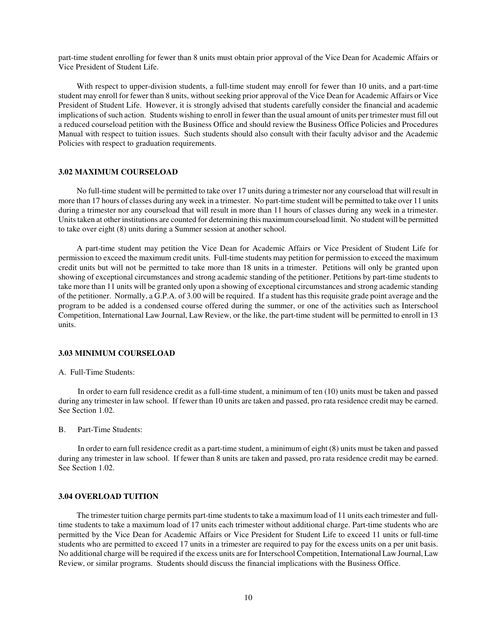part-time student enrolling for fewer than 8 units must obtain prior approval of the Vice Dean for Academic Affairs or Vice President of Student Life.

With respect to upper-division students, a full-time student may enroll for fewer than 10 units, and a part-time student may enroll for fewer than 8 units, without seeking prior approval of the Vice Dean for Academic Affairs or Vice President of Student Life. However, it is strongly advised that students carefully consider the financial and academic implications of such action. Students wishing to enroll in fewer than the usual amount of units per trimester must fill out a reduced courseload petition with the Business Office and should review the Business Office Policies and Procedures Manual with respect to tuition issues. Such students should also consult with their faculty advisor and the Academic Policies with respect to graduation requirements.

#### **3.02 MAXIMUM COURSELOAD**

 No full-time student will be permitted to take over 17 units during a trimester nor any courseload that will result in more than 17 hours of classes during any week in a trimester. No part-time student will be permitted to take over 11 units during a trimester nor any courseload that will result in more than 11 hours of classes during any week in a trimester. Units taken at other institutions are counted for determining this maximum courseload limit. No student will be permitted to take over eight (8) units during a Summer session at another school.

A part-time student may petition the Vice Dean for Academic Affairs or Vice President of Student Life for permission to exceed the maximum credit units. Full-time students may petition for permission to exceed the maximum credit units but will not be permitted to take more than 18 units in a trimester. Petitions will only be granted upon showing of exceptional circumstances and strong academic standing of the petitioner. Petitions by part-time students to take more than 11 units will be granted only upon a showing of exceptional circumstances and strong academic standing of the petitioner. Normally, a G.P.A. of 3.00 will be required. If a student has this requisite grade point average and the program to be added is a condensed course offered during the summer, or one of the activities such as Interschool Competition, International Law Journal, Law Review, or the like, the part-time student will be permitted to enroll in 13 units.

#### **3.03 MINIMUM COURSELOAD**

#### A. Full-Time Students:

In order to earn full residence credit as a full-time student, a minimum of ten (10) units must be taken and passed during any trimester in law school. If fewer than 10 units are taken and passed, pro rata residence credit may be earned. See Section 1.02.

B. Part-Time Students:

In order to earn full residence credit as a part-time student, a minimum of eight (8) units must be taken and passed during any trimester in law school. If fewer than 8 units are taken and passed, pro rata residence credit may be earned. See Section 1.02.

#### **3.04 OVERLOAD TUITION**

 The trimester tuition charge permits part-time students to take a maximum load of 11 units each trimester and fulltime students to take a maximum load of 17 units each trimester without additional charge. Part-time students who are permitted by the Vice Dean for Academic Affairs or Vice President for Student Life to exceed 11 units or full-time students who are permitted to exceed 17 units in a trimester are required to pay for the excess units on a per unit basis. No additional charge will be required if the excess units are for Interschool Competition, International Law Journal, Law Review, or similar programs. Students should discuss the financial implications with the Business Office.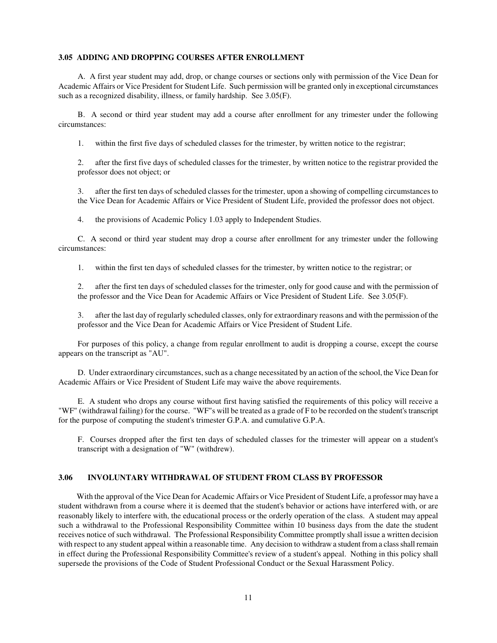#### **3.05 ADDING AND DROPPING COURSES AFTER ENROLLMENT**

A. A first year student may add, drop, or change courses or sections only with permission of the Vice Dean for Academic Affairs or Vice President for Student Life. Such permission will be granted only in exceptional circumstances such as a recognized disability, illness, or family hardship. See 3.05(F).

B. A second or third year student may add a course after enrollment for any trimester under the following circumstances:

1. within the first five days of scheduled classes for the trimester, by written notice to the registrar;

 2. after the first five days of scheduled classes for the trimester, by written notice to the registrar provided the professor does not object; or

 3. after the first ten days of scheduled classes for the trimester, upon a showing of compelling circumstances to the Vice Dean for Academic Affairs or Vice President of Student Life, provided the professor does not object.

4. the provisions of Academic Policy 1.03 apply to Independent Studies.

C. A second or third year student may drop a course after enrollment for any trimester under the following circumstances:

1. within the first ten days of scheduled classes for the trimester, by written notice to the registrar; or

 2. after the first ten days of scheduled classes for the trimester, only for good cause and with the permission of the professor and the Vice Dean for Academic Affairs or Vice President of Student Life. See 3.05(F).

 3. after the last day of regularly scheduled classes, only for extraordinary reasons and with the permission of the professor and the Vice Dean for Academic Affairs or Vice President of Student Life.

For purposes of this policy, a change from regular enrollment to audit is dropping a course, except the course appears on the transcript as "AU".

D. Under extraordinary circumstances, such as a change necessitated by an action of the school, the Vice Dean for Academic Affairs or Vice President of Student Life may waive the above requirements.

E. A student who drops any course without first having satisfied the requirements of this policy will receive a "WF" (withdrawal failing) for the course. "WF"s will be treated as a grade of F to be recorded on the student's transcript for the purpose of computing the student's trimester G.P.A. and cumulative G.P.A.

F. Courses dropped after the first ten days of scheduled classes for the trimester will appear on a student's transcript with a designation of "W" (withdrew).

#### **3.06 INVOLUNTARY WITHDRAWAL OF STUDENT FROM CLASS BY PROFESSOR**

 With the approval of the Vice Dean for Academic Affairs or Vice President of Student Life, a professor may have a student withdrawn from a course where it is deemed that the student's behavior or actions have interfered with, or are reasonably likely to interfere with, the educational process or the orderly operation of the class. A student may appeal such a withdrawal to the Professional Responsibility Committee within 10 business days from the date the student receives notice of such withdrawal. The Professional Responsibility Committee promptly shall issue a written decision with respect to any student appeal within a reasonable time. Any decision to withdraw a student from a class shall remain in effect during the Professional Responsibility Committee's review of a student's appeal. Nothing in this policy shall supersede the provisions of the Code of Student Professional Conduct or the Sexual Harassment Policy.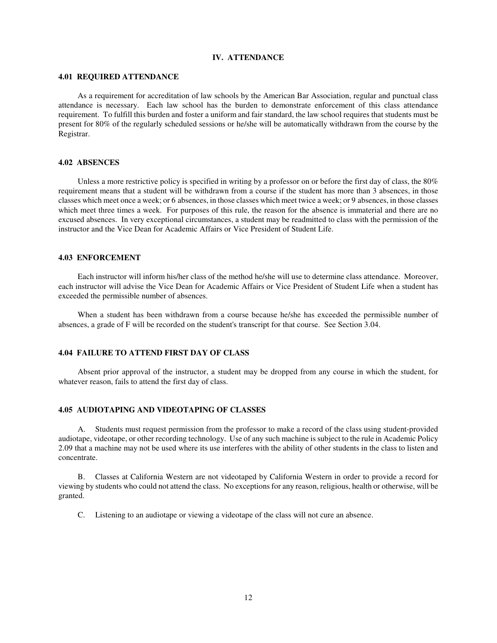## **IV. ATTENDANCE**

#### **4.01 REQUIRED ATTENDANCE**

As a requirement for accreditation of law schools by the American Bar Association, regular and punctual class attendance is necessary. Each law school has the burden to demonstrate enforcement of this class attendance requirement. To fulfill this burden and foster a uniform and fair standard, the law school requires that students must be present for 80% of the regularly scheduled sessions or he/she will be automatically withdrawn from the course by the Registrar.

#### **4.02 ABSENCES**

Unless a more restrictive policy is specified in writing by a professor on or before the first day of class, the 80% requirement means that a student will be withdrawn from a course if the student has more than 3 absences, in those classes which meet once a week; or 6 absences, in those classes which meet twice a week; or 9 absences, in those classes which meet three times a week. For purposes of this rule, the reason for the absence is immaterial and there are no excused absences. In very exceptional circumstances, a student may be readmitted to class with the permission of the instructor and the Vice Dean for Academic Affairs or Vice President of Student Life.

#### **4.03 ENFORCEMENT**

Each instructor will inform his/her class of the method he/she will use to determine class attendance. Moreover, each instructor will advise the Vice Dean for Academic Affairs or Vice President of Student Life when a student has exceeded the permissible number of absences.

When a student has been withdrawn from a course because he/she has exceeded the permissible number of absences, a grade of F will be recorded on the student's transcript for that course. See Section 3.04.

## **4.04 FAILURE TO ATTEND FIRST DAY OF CLASS**

Absent prior approval of the instructor, a student may be dropped from any course in which the student, for whatever reason, fails to attend the first day of class.

## **4.05 AUDIOTAPING AND VIDEOTAPING OF CLASSES**

A. Students must request permission from the professor to make a record of the class using student-provided audiotape, videotape, or other recording technology. Use of any such machine is subject to the rule in Academic Policy 2.09 that a machine may not be used where its use interferes with the ability of other students in the class to listen and concentrate.

B. Classes at California Western are not videotaped by California Western in order to provide a record for viewing by students who could not attend the class. No exceptions for any reason, religious, health or otherwise, will be granted.

C. Listening to an audiotape or viewing a videotape of the class will not cure an absence.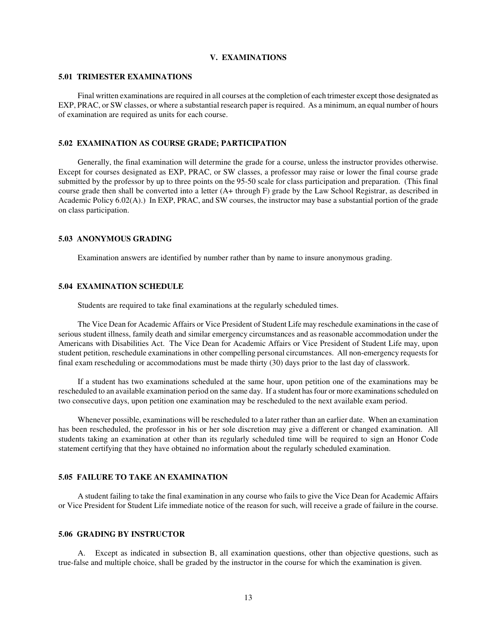## **V. EXAMINATIONS**

## **5.01 TRIMESTER EXAMINATIONS**

Final written examinations are required in all courses at the completion of each trimester except those designated as EXP, PRAC, or SW classes, or where a substantial research paper is required. As a minimum, an equal number of hours of examination are required as units for each course.

## **5.02 EXAMINATION AS COURSE GRADE; PARTICIPATION**

Generally, the final examination will determine the grade for a course, unless the instructor provides otherwise. Except for courses designated as EXP, PRAC, or SW classes, a professor may raise or lower the final course grade submitted by the professor by up to three points on the 95-50 scale for class participation and preparation. (This final course grade then shall be converted into a letter (A+ through F) grade by the Law School Registrar, as described in Academic Policy 6.02(A).) In EXP, PRAC, and SW courses, the instructor may base a substantial portion of the grade on class participation.

#### **5.03 ANONYMOUS GRADING**

Examination answers are identified by number rather than by name to insure anonymous grading.

#### **5.04 EXAMINATION SCHEDULE**

Students are required to take final examinations at the regularly scheduled times.

The Vice Dean for Academic Affairs or Vice President of Student Life may reschedule examinations in the case of serious student illness, family death and similar emergency circumstances and as reasonable accommodation under the Americans with Disabilities Act. The Vice Dean for Academic Affairs or Vice President of Student Life may, upon student petition, reschedule examinations in other compelling personal circumstances. All non-emergency requests for final exam rescheduling or accommodations must be made thirty (30) days prior to the last day of classwork.

If a student has two examinations scheduled at the same hour, upon petition one of the examinations may be rescheduled to an available examination period on the same day. If a student has four or more examinations scheduled on two consecutive days, upon petition one examination may be rescheduled to the next available exam period.

Whenever possible, examinations will be rescheduled to a later rather than an earlier date. When an examination has been rescheduled, the professor in his or her sole discretion may give a different or changed examination. All students taking an examination at other than its regularly scheduled time will be required to sign an Honor Code statement certifying that they have obtained no information about the regularly scheduled examination.

## **5.05 FAILURE TO TAKE AN EXAMINATION**

A student failing to take the final examination in any course who fails to give the Vice Dean for Academic Affairs or Vice President for Student Life immediate notice of the reason for such, will receive a grade of failure in the course.

## **5.06 GRADING BY INSTRUCTOR**

A. Except as indicated in subsection B, all examination questions, other than objective questions, such as true-false and multiple choice, shall be graded by the instructor in the course for which the examination is given.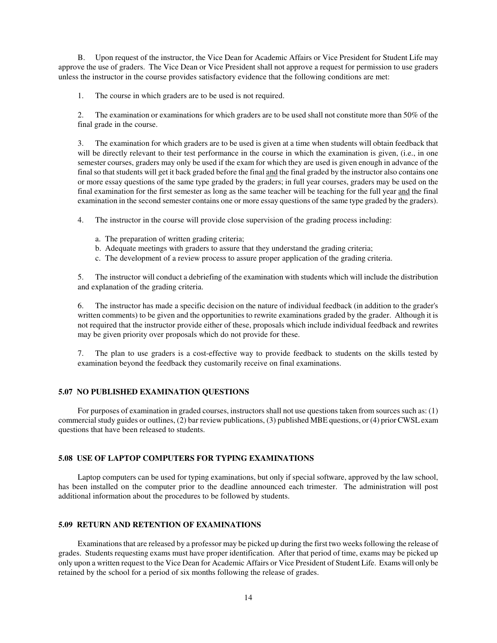B. Upon request of the instructor, the Vice Dean for Academic Affairs or Vice President for Student Life may approve the use of graders. The Vice Dean or Vice President shall not approve a request for permission to use graders unless the instructor in the course provides satisfactory evidence that the following conditions are met:

1. The course in which graders are to be used is not required.

 2. The examination or examinations for which graders are to be used shall not constitute more than 50% of the final grade in the course.

 3. The examination for which graders are to be used is given at a time when students will obtain feedback that will be directly relevant to their test performance in the course in which the examination is given, (i.e., in one semester courses, graders may only be used if the exam for which they are used is given enough in advance of the final so that students will get it back graded before the final and the final graded by the instructor also contains one or more essay questions of the same type graded by the graders; in full year courses, graders may be used on the final examination for the first semester as long as the same teacher will be teaching for the full year and the final examination in the second semester contains one or more essay questions of the same type graded by the graders).

4. The instructor in the course will provide close supervision of the grading process including:

- a. The preparation of written grading criteria;
- b. Adequate meetings with graders to assure that they understand the grading criteria;
- c. The development of a review process to assure proper application of the grading criteria.

 5. The instructor will conduct a debriefing of the examination with students which will include the distribution and explanation of the grading criteria.

 6. The instructor has made a specific decision on the nature of individual feedback (in addition to the grader's written comments) to be given and the opportunities to rewrite examinations graded by the grader. Although it is not required that the instructor provide either of these, proposals which include individual feedback and rewrites may be given priority over proposals which do not provide for these.

 7. The plan to use graders is a cost-effective way to provide feedback to students on the skills tested by examination beyond the feedback they customarily receive on final examinations.

#### **5.07 NO PUBLISHED EXAMINATION QUESTIONS**

For purposes of examination in graded courses, instructors shall not use questions taken from sources such as: (1) commercial study guides or outlines, (2) bar review publications, (3) published MBE questions, or (4) prior CWSL exam questions that have been released to students.

#### **5.08 USE OF LAPTOP COMPUTERS FOR TYPING EXAMINATIONS**

Laptop computers can be used for typing examinations, but only if special software, approved by the law school, has been installed on the computer prior to the deadline announced each trimester. The administration will post additional information about the procedures to be followed by students.

# **5.09 RETURN AND RETENTION OF EXAMINATIONS**

Examinations that are released by a professor may be picked up during the first two weeks following the release of grades. Students requesting exams must have proper identification. After that period of time, exams may be picked up only upon a written request to the Vice Dean for Academic Affairs or Vice President of Student Life. Exams will only be retained by the school for a period of six months following the release of grades.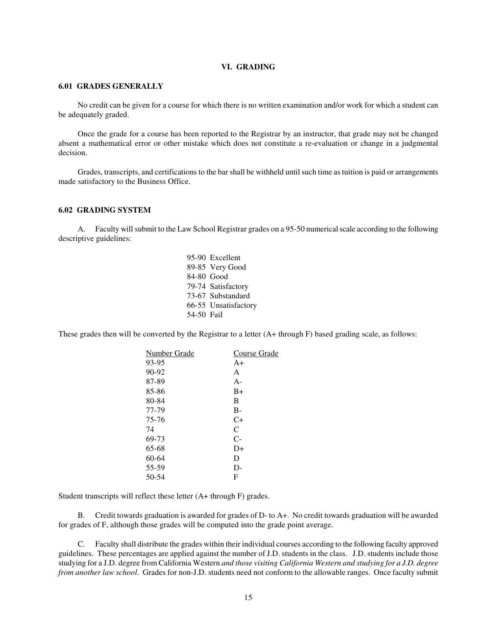## **VI. GRADING**

#### **6.01 GRADES GENERALLY**

No credit can be given for a course for which there is no written examination and/or work for which a student can be adequately graded.

Once the grade for a course has been reported to the Registrar by an instructor, that grade may not be changed absent a mathematical error or other mistake which does not constitute a re-evaluation or change in a judgmental decision.

Grades, transcripts, and certifications to the bar shall be withheld until such time as tuition is paid or arrangements made satisfactory to the Business Office.

#### **6.02 GRADING SYSTEM**

A. Faculty will submit to the Law School Registrar grades on a 95-50 numerical scale according to the following descriptive guidelines:

> 95-90 Excellent 89-85 Very Good 84-80 Good 79-74 Satisfactory 73-67 Substandard 66-55 Unsatisfactory 54-50 Fail

These grades then will be converted by the Registrar to a letter (A+ through F) based grading scale, as follows:

| Number Grade | Course Grade |
|--------------|--------------|
| 93-95        | $A+$         |
| 90-92        | A            |
| 87-89        | $A -$        |
| 85-86        | $B+$         |
| 80-84        | B            |
| 77-79        | $B -$        |
| 75-76        | $C+$         |
| 74           | C            |
| 69-73        | $C-$         |
| 65-68        | D+           |
| 60-64        | D            |
| 55-59        | $D-$         |
| 50-54        | F            |
|              |              |

Student transcripts will reflect these letter (A+ through F) grades.

B. Credit towards graduation is awarded for grades of D- to A+. No credit towards graduation will be awarded for grades of F, although those grades will be computed into the grade point average.

C. Faculty shall distribute the grades within their individual courses according to the following faculty approved guidelines. These percentages are applied against the number of J.D. students in the class. J.D. students include those studying for a J.D. degree from California Western *and those visiting California Western and studying for a J.D. degree from another law school*. Grades for non-J.D. students need not conform to the allowable ranges. Once faculty submit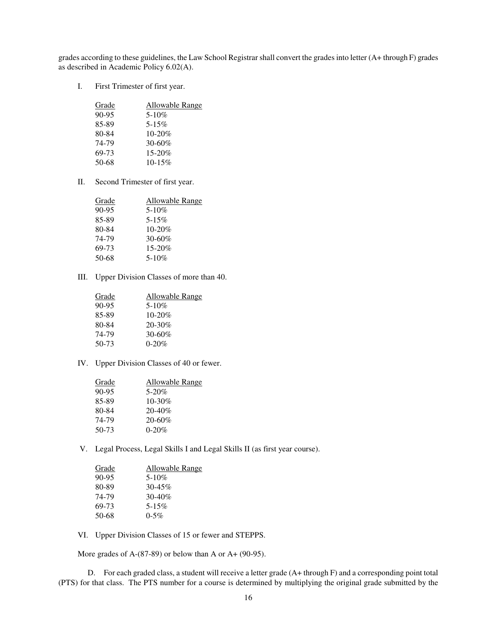grades according to these guidelines, the Law School Registrar shall convert the grades into letter (A+ through F) grades as described in Academic Policy 6.02(A).

I. First Trimester of first year.

| Grade     | Allowable Range |
|-----------|-----------------|
| $90 - 95$ | $5 - 10\%$      |
| 85-89     | $5 - 15\%$      |
| 80-84     | $10 - 20%$      |
| 74-79     | $30 - 60\%$     |
| 69-73     | $15 - 20%$      |
| 50-68     | $10 - 15\%$     |

II. Second Trimester of first year.

| Grade     | Allowable Range |
|-----------|-----------------|
| $90 - 95$ | $5 - 10\%$      |
| 85-89     | $5 - 15\%$      |
| 80-84     | $10 - 20%$      |
| 74-79     | $30 - 60\%$     |
| 69-73     | 15-20%          |
| 50-68     | $5 - 10\%$      |

III. Upper Division Classes of more than 40.

| Allowable Range |
|-----------------|
| $5 - 10\%$      |
| $10 - 20\%$     |
| $20 - 30\%$     |
| $30 - 60\%$     |
| $0 - 20%$       |
|                 |

IV. Upper Division Classes of 40 or fewer.

| Grade | Allowable Range |
|-------|-----------------|
| 90-95 | $5 - 20\%$      |
| 85-89 | 10-30%          |
| 80-84 | $20 - 40\%$     |
| 74-79 | $20 - 60\%$     |
| 50-73 | $0 - 20%$       |
|       |                 |

V. Legal Process, Legal Skills I and Legal Skills II (as first year course).

| Grade     | Allowable Range |
|-----------|-----------------|
| $90 - 95$ | $5 - 10\%$      |
| 80-89     | $30 - 45\%$     |
| 74-79     | $30 - 40\%$     |
| 69-73     | $5 - 15\%$      |
| 50-68     | $0 - 5\%$       |
|           |                 |

VI. Upper Division Classes of 15 or fewer and STEPPS.

More grades of  $A-(87-89)$  or below than A or  $A+(90-95)$ .

D. For each graded class, a student will receive a letter grade (A+ through F) and a corresponding point total (PTS) for that class. The PTS number for a course is determined by multiplying the original grade submitted by the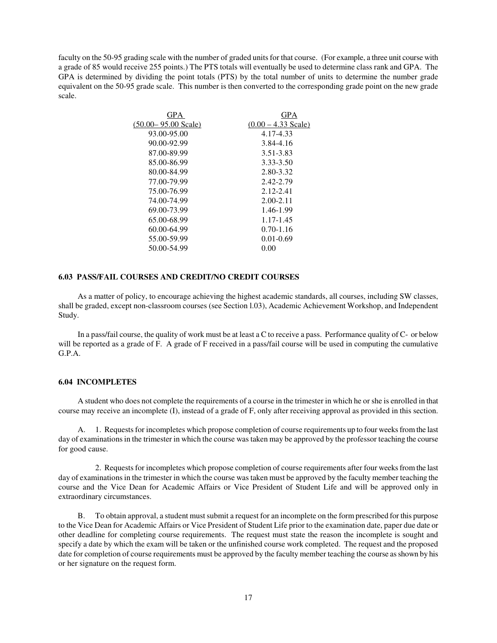faculty on the 50-95 grading scale with the number of graded units for that course. (For example, a three unit course with a grade of 85 would receive 255 points.) The PTS totals will eventually be used to determine class rank and GPA. The GPA is determined by dividing the point totals (PTS) by the total number of units to determine the number grade equivalent on the 50-95 grade scale. This number is then converted to the corresponding grade point on the new grade scale.

| GPA                     | GPA                   |
|-------------------------|-----------------------|
| $(50.00 - 95.00$ Scale) | $(0.00 - 4.33$ Scale) |
| 93.00-95.00             | 4.17-4.33             |
| 90.00-92.99             | 3.84-4.16             |
| 87.00-89.99             | 3.51-3.83             |
| 85.00-86.99             | 3.33-3.50             |
| 80.00-84.99             | 2.80-3.32             |
| 77.00-79.99             | 2.42-2.79             |
| 75.00-76.99             | 2.12-2.41             |
| 74.00-74.99             | $2.00 - 2.11$         |
| 69.00-73.99             | 1.46-1.99             |
| 65.00-68.99             | 1.17-1.45             |
| 60.00-64.99             | $0.70 - 1.16$         |
| 55.00-59.99             | $0.01 - 0.69$         |
| 50.00-54.99             | 0.00                  |
|                         |                       |

# **6.03 PASS/FAIL COURSES AND CREDIT/NO CREDIT COURSES**

As a matter of policy, to encourage achieving the highest academic standards, all courses, including SW classes, shall be graded, except non-classroom courses (see Section l.03), Academic Achievement Workshop, and Independent Study.

In a pass/fail course, the quality of work must be at least a C to receive a pass. Performance quality of C- or below will be reported as a grade of F. A grade of F received in a pass/fail course will be used in computing the cumulative G.P.A.

#### **6.04 INCOMPLETES**

A student who does not complete the requirements of a course in the trimester in which he or she is enrolled in that course may receive an incomplete (I), instead of a grade of F, only after receiving approval as provided in this section.

A. 1. Requests for incompletes which propose completion of course requirements up to four weeks from the last day of examinations in the trimester in which the course was taken may be approved by the professor teaching the course for good cause.

2. Requests for incompletes which propose completion of course requirements after four weeks from the last day of examinations in the trimester in which the course was taken must be approved by the faculty member teaching the course and the Vice Dean for Academic Affairs or Vice President of Student Life and will be approved only in extraordinary circumstances.

B. To obtain approval, a student must submit a request for an incomplete on the form prescribed for this purpose to the Vice Dean for Academic Affairs or Vice President of Student Life prior to the examination date, paper due date or other deadline for completing course requirements. The request must state the reason the incomplete is sought and specify a date by which the exam will be taken or the unfinished course work completed. The request and the proposed date for completion of course requirements must be approved by the faculty member teaching the course as shown by his or her signature on the request form.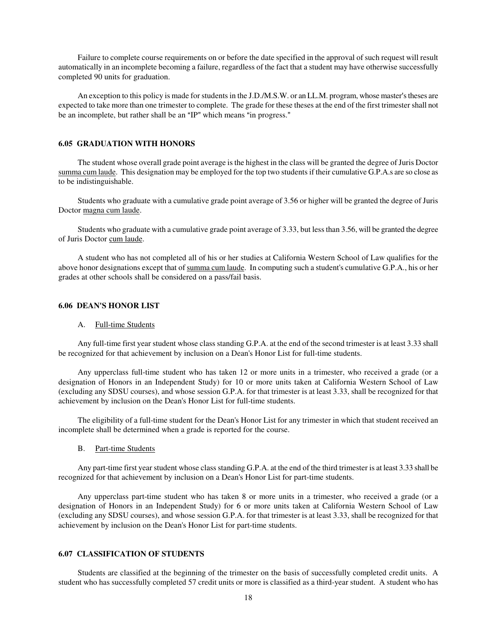Failure to complete course requirements on or before the date specified in the approval of such request will result automatically in an incomplete becoming a failure, regardless of the fact that a student may have otherwise successfully completed 90 units for graduation.

An exception to this policy is made for students in the J.D./M.S.W. or an LL.M. program, whose master's theses are expected to take more than one trimester to complete. The grade for these theses at the end of the first trimester shall not be an incomplete, but rather shall be an "IP" which means "in progress."

## **6.05 GRADUATION WITH HONORS**

The student whose overall grade point average is the highest in the class will be granted the degree of Juris Doctor summa cum laude. This designation may be employed for the top two students if their cumulative G.P.A.s are so close as to be indistinguishable.

Students who graduate with a cumulative grade point average of 3.56 or higher will be granted the degree of Juris Doctor magna cum laude.

Students who graduate with a cumulative grade point average of 3.33, but less than 3.56, will be granted the degree of Juris Doctor cum laude.

A student who has not completed all of his or her studies at California Western School of Law qualifies for the above honor designations except that of summa cum laude. In computing such a student's cumulative G.P.A., his or her grades at other schools shall be considered on a pass/fail basis.

#### **6.06 DEAN'S HONOR LIST**

#### A. Full-time Students

Any full-time first year student whose class standing G.P.A. at the end of the second trimester is at least 3.33 shall be recognized for that achievement by inclusion on a Dean's Honor List for full-time students.

Any upperclass full-time student who has taken 12 or more units in a trimester, who received a grade (or a designation of Honors in an Independent Study) for 10 or more units taken at California Western School of Law (excluding any SDSU courses), and whose session G.P.A. for that trimester is at least 3.33, shall be recognized for that achievement by inclusion on the Dean's Honor List for full-time students.

The eligibility of a full-time student for the Dean's Honor List for any trimester in which that student received an incomplete shall be determined when a grade is reported for the course.

#### B. Part-time Students

Any part-time first year student whose class standing G.P.A. at the end of the third trimester is at least 3.33 shall be recognized for that achievement by inclusion on a Dean's Honor List for part-time students.

Any upperclass part-time student who has taken 8 or more units in a trimester, who received a grade (or a designation of Honors in an Independent Study) for 6 or more units taken at California Western School of Law (excluding any SDSU courses), and whose session G.P.A. for that trimester is at least 3.33, shall be recognized for that achievement by inclusion on the Dean's Honor List for part-time students.

## **6.07 CLASSIFICATION OF STUDENTS**

Students are classified at the beginning of the trimester on the basis of successfully completed credit units. A student who has successfully completed 57 credit units or more is classified as a third-year student. A student who has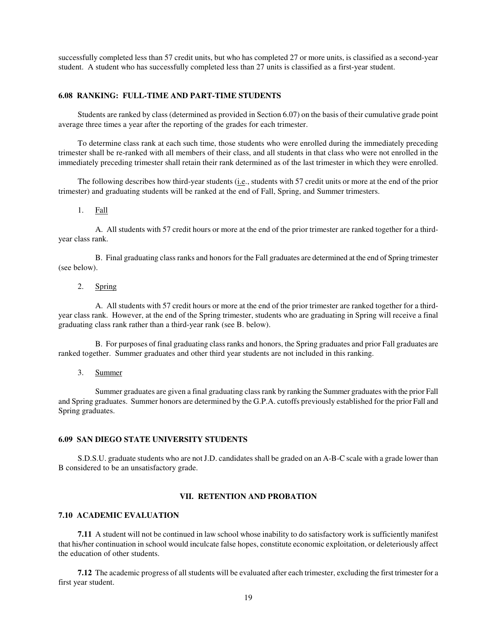successfully completed less than 57 credit units, but who has completed 27 or more units, is classified as a second-year student. A student who has successfully completed less than 27 units is classified as a first-year student.

#### **6.08 RANKING: FULL-TIME AND PART-TIME STUDENTS**

Students are ranked by class (determined as provided in Section 6.07) on the basis of their cumulative grade point average three times a year after the reporting of the grades for each trimester.

To determine class rank at each such time, those students who were enrolled during the immediately preceding trimester shall be re-ranked with all members of their class, and all students in that class who were not enrolled in the immediately preceding trimester shall retain their rank determined as of the last trimester in which they were enrolled.

The following describes how third-year students (i.e., students with 57 credit units or more at the end of the prior trimester) and graduating students will be ranked at the end of Fall, Spring, and Summer trimesters.

#### 1. Fall

A. All students with 57 credit hours or more at the end of the prior trimester are ranked together for a thirdyear class rank.

B. Final graduating class ranks and honors for the Fall graduates are determined at the end of Spring trimester (see below).

# 2. Spring

A. All students with 57 credit hours or more at the end of the prior trimester are ranked together for a thirdyear class rank. However, at the end of the Spring trimester, students who are graduating in Spring will receive a final graduating class rank rather than a third-year rank (see B. below).

B. For purposes of final graduating class ranks and honors, the Spring graduates and prior Fall graduates are ranked together. Summer graduates and other third year students are not included in this ranking.

3. Summer

Summer graduates are given a final graduating class rank by ranking the Summer graduates with the prior Fall and Spring graduates. Summer honors are determined by the G.P.A. cutoffs previously established for the prior Fall and Spring graduates.

#### **6.09 SAN DIEGO STATE UNIVERSITY STUDENTS**

S.D.S.U. graduate students who are not J.D. candidates shall be graded on an A-B-C scale with a grade lower than B considered to be an unsatisfactory grade.

## **VII. RETENTION AND PROBATION**

#### **7.10 ACADEMIC EVALUATION**

**7.11** A student will not be continued in law school whose inability to do satisfactory work is sufficiently manifest that his/her continuation in school would inculcate false hopes, constitute economic exploitation, or deleteriously affect the education of other students.

**7.12** The academic progress of all students will be evaluated after each trimester, excluding the first trimester for a first year student.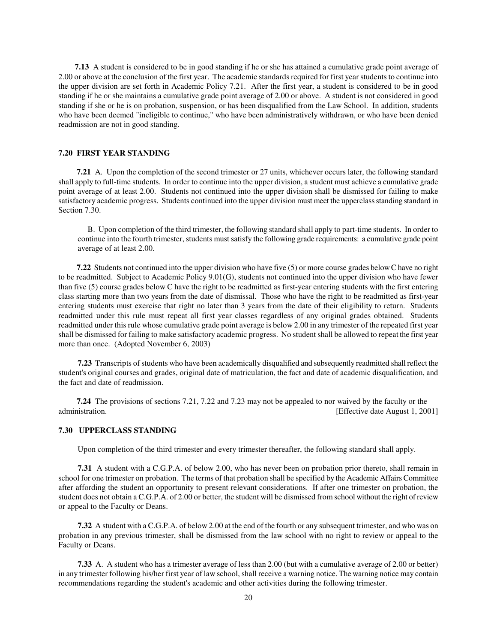**7.13** A student is considered to be in good standing if he or she has attained a cumulative grade point average of 2.00 or above at the conclusion of the first year. The academic standards required for first year students to continue into the upper division are set forth in Academic Policy 7.21. After the first year, a student is considered to be in good standing if he or she maintains a cumulative grade point average of 2.00 or above. A student is not considered in good standing if she or he is on probation, suspension, or has been disqualified from the Law School. In addition, students who have been deemed "ineligible to continue," who have been administratively withdrawn, or who have been denied readmission are not in good standing.

## **7.20 FIRST YEAR STANDING**

**7.21** A. Upon the completion of the second trimester or 27 units, whichever occurs later, the following standard shall apply to full-time students. In order to continue into the upper division, a student must achieve a cumulative grade point average of at least 2.00. Students not continued into the upper division shall be dismissed for failing to make satisfactory academic progress. Students continued into the upper division must meet the upperclass standing standard in Section 7.30.

 B. Upon completion of the third trimester, the following standard shall apply to part-time students. In order to continue into the fourth trimester, students must satisfy the following grade requirements: a cumulative grade point average of at least 2.00.

**7.22** Students not continued into the upper division who have five (5) or more course grades below C have no right to be readmitted. Subject to Academic Policy 9.01(G), students not continued into the upper division who have fewer than five (5) course grades below C have the right to be readmitted as first-year entering students with the first entering class starting more than two years from the date of dismissal. Those who have the right to be readmitted as first-year entering students must exercise that right no later than 3 years from the date of their eligibility to return. Students readmitted under this rule must repeat all first year classes regardless of any original grades obtained. Students readmitted under this rule whose cumulative grade point average is below 2.00 in any trimester of the repeated first year shall be dismissed for failing to make satisfactory academic progress. No student shall be allowed to repeat the first year more than once. (Adopted November 6, 2003)

**7.23** Transcripts of students who have been academically disqualified and subsequently readmitted shall reflect the student's original courses and grades, original date of matriculation, the fact and date of academic disqualification, and the fact and date of readmission.

**7.24** The provisions of sections 7.21, 7.22 and 7.23 may not be appealed to nor waived by the faculty or the administration. **Effective date August 1, 2001** 

## **7.30 UPPERCLASS STANDING**

Upon completion of the third trimester and every trimester thereafter, the following standard shall apply.

**7.31** A student with a C.G.P.A. of below 2.00, who has never been on probation prior thereto, shall remain in school for one trimester on probation. The terms of that probation shall be specified by the Academic Affairs Committee after affording the student an opportunity to present relevant considerations. If after one trimester on probation, the student does not obtain a C.G.P.A. of 2.00 or better, the student will be dismissed from school without the right of review or appeal to the Faculty or Deans.

**7.32** A student with a C.G.P.A. of below 2.00 at the end of the fourth or any subsequent trimester, and who was on probation in any previous trimester, shall be dismissed from the law school with no right to review or appeal to the Faculty or Deans.

**7.33** A. A student who has a trimester average of less than 2.00 (but with a cumulative average of 2.00 or better) in any trimester following his/her first year of law school, shall receive a warning notice. The warning notice may contain recommendations regarding the student's academic and other activities during the following trimester.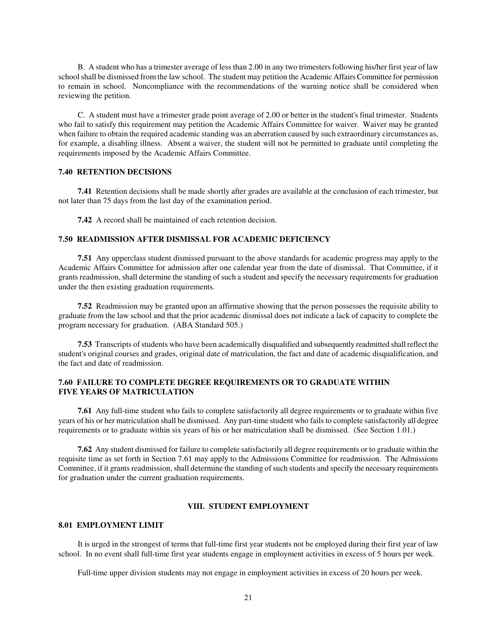B. A student who has a trimester average of less than 2.00 in any two trimesters following his/her first year of law school shall be dismissed from the law school. The student may petition the Academic Affairs Committee for permission to remain in school. Noncompliance with the recommendations of the warning notice shall be considered when reviewing the petition.

C. A student must have a trimester grade point average of 2.00 or better in the student's final trimester. Students who fail to satisfy this requirement may petition the Academic Affairs Committee for waiver. Waiver may be granted when failure to obtain the required academic standing was an aberration caused by such extraordinary circumstances as, for example, a disabling illness. Absent a waiver, the student will not be permitted to graduate until completing the requirements imposed by the Academic Affairs Committee.

## **7.40 RETENTION DECISIONS**

**7.41** Retention decisions shall be made shortly after grades are available at the conclusion of each trimester, but not later than 75 days from the last day of the examination period.

**7.42** A record shall be maintained of each retention decision.

## **7.50 READMISSION AFTER DISMISSAL FOR ACADEMIC DEFICIENCY**

**7.51** Any upperclass student dismissed pursuant to the above standards for academic progress may apply to the Academic Affairs Committee for admission after one calendar year from the date of dismissal. That Committee, if it grants readmission, shall determine the standing of such a student and specify the necessary requirements for graduation under the then existing graduation requirements.

**7.52** Readmission may be granted upon an affirmative showing that the person possesses the requisite ability to graduate from the law school and that the prior academic dismissal does not indicate a lack of capacity to complete the program necessary for graduation. (ABA Standard 505.)

**7.53** Transcripts of students who have been academically disqualified and subsequently readmitted shall reflect the student's original courses and grades, original date of matriculation, the fact and date of academic disqualification, and the fact and date of readmission.

# **7.60 FAILURE TO COMPLETE DEGREE REQUIREMENTS OR TO GRADUATE WITHIN FIVE YEARS OF MATRICULATION**

**7.61** Any full-time student who fails to complete satisfactorily all degree requirements or to graduate within five years of his or her matriculation shall be dismissed. Any part-time student who fails to complete satisfactorily all degree requirements or to graduate within six years of his or her matriculation shall be dismissed. (See Section 1.01.)

**7.62** Any student dismissed for failure to complete satisfactorily all degree requirements or to graduate within the requisite time as set forth in Section 7.61 may apply to the Admissions Committee for readmission. The Admissions Committee, if it grants readmission, shall determine the standing of such students and specify the necessary requirements for graduation under the current graduation requirements.

#### **VIII. STUDENT EMPLOYMENT**

#### **8.01 EMPLOYMENT LIMIT**

It is urged in the strongest of terms that full-time first year students not be employed during their first year of law school. In no event shall full-time first year students engage in employment activities in excess of 5 hours per week.

Full-time upper division students may not engage in employment activities in excess of 20 hours per week.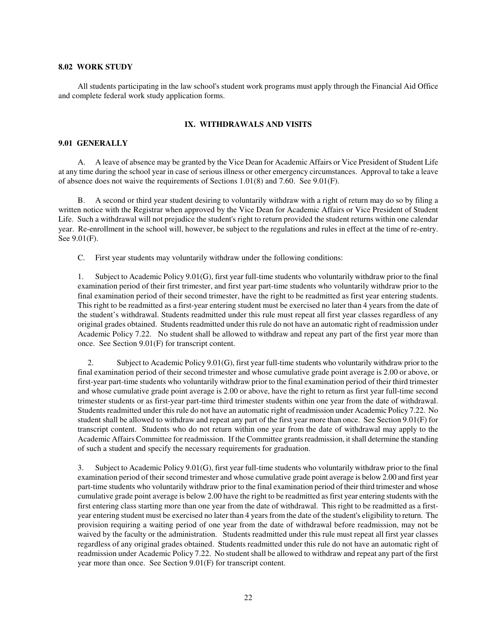#### **8.02 WORK STUDY**

All students participating in the law school's student work programs must apply through the Financial Aid Office and complete federal work study application forms.

#### **IX. WITHDRAWALS AND VISITS**

#### **9.01 GENERALLY**

A. A leave of absence may be granted by the Vice Dean for Academic Affairs or Vice President of Student Life at any time during the school year in case of serious illness or other emergency circumstances. Approval to take a leave of absence does not waive the requirements of Sections 1.01(8) and 7.60. See 9.01(F).

B. A second or third year student desiring to voluntarily withdraw with a right of return may do so by filing a written notice with the Registrar when approved by the Vice Dean for Academic Affairs or Vice President of Student Life. Such a withdrawal will not prejudice the student's right to return provided the student returns within one calendar year. Re-enrollment in the school will, however, be subject to the regulations and rules in effect at the time of re-entry. See 9.01(F).

C. First year students may voluntarily withdraw under the following conditions:

 1. Subject to Academic Policy 9.01(G), first year full-time students who voluntarily withdraw prior to the final examination period of their first trimester, and first year part-time students who voluntarily withdraw prior to the final examination period of their second trimester, have the right to be readmitted as first year entering students. This right to be readmitted as a first-year entering student must be exercised no later than 4 years from the date of the student's withdrawal. Students readmitted under this rule must repeat all first year classes regardless of any original grades obtained. Students readmitted under this rule do not have an automatic right of readmission under Academic Policy 7.22. No student shall be allowed to withdraw and repeat any part of the first year more than once. See Section 9.01(F) for transcript content.

 2. Subject to Academic Policy 9.01(G), first year full-time students who voluntarily withdraw prior to the final examination period of their second trimester and whose cumulative grade point average is 2.00 or above, or first-year part-time students who voluntarily withdraw prior to the final examination period of their third trimester and whose cumulative grade point average is 2.00 or above, have the right to return as first year full-time second trimester students or as first-year part-time third trimester students within one year from the date of withdrawal. Students readmitted under this rule do not have an automatic right of readmission under Academic Policy 7.22. No student shall be allowed to withdraw and repeat any part of the first year more than once. See Section 9.01(F) for transcript content. Students who do not return within one year from the date of withdrawal may apply to the Academic Affairs Committee for readmission. If the Committee grants readmission, it shall determine the standing of such a student and specify the necessary requirements for graduation.

 3. Subject to Academic Policy 9.01(G), first year full-time students who voluntarily withdraw prior to the final examination period of their second trimester and whose cumulative grade point average is below 2.00 and first year part-time students who voluntarily withdraw prior to the final examination period of their third trimester and whose cumulative grade point average is below 2.00 have the right to be readmitted as first year entering students with the first entering class starting more than one year from the date of withdrawal. This right to be readmitted as a firstyear entering student must be exercised no later than 4 years from the date of the student's eligibility to return. The provision requiring a waiting period of one year from the date of withdrawal before readmission, may not be waived by the faculty or the administration. Students readmitted under this rule must repeat all first year classes regardless of any original grades obtained. Students readmitted under this rule do not have an automatic right of readmission under Academic Policy 7.22. No student shall be allowed to withdraw and repeat any part of the first year more than once. See Section 9.01(F) for transcript content.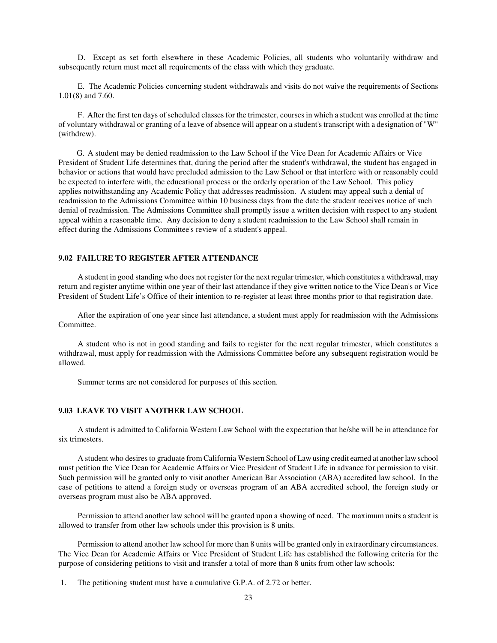D. Except as set forth elsewhere in these Academic Policies, all students who voluntarily withdraw and subsequently return must meet all requirements of the class with which they graduate.

E. The Academic Policies concerning student withdrawals and visits do not waive the requirements of Sections 1.01(8) and 7.60.

F. After the first ten days of scheduled classes for the trimester, courses in which a student was enrolled at the time of voluntary withdrawal or granting of a leave of absence will appear on a student's transcript with a designation of "W" (withdrew).

 G. A student may be denied readmission to the Law School if the Vice Dean for Academic Affairs or Vice President of Student Life determines that, during the period after the student's withdrawal, the student has engaged in behavior or actions that would have precluded admission to the Law School or that interfere with or reasonably could be expected to interfere with, the educational process or the orderly operation of the Law School. This policy applies notwithstanding any Academic Policy that addresses readmission. A student may appeal such a denial of readmission to the Admissions Committee within 10 business days from the date the student receives notice of such denial of readmission. The Admissions Committee shall promptly issue a written decision with respect to any student appeal within a reasonable time. Any decision to deny a student readmission to the Law School shall remain in effect during the Admissions Committee's review of a student's appeal.

#### **9.02 FAILURE TO REGISTER AFTER ATTENDANCE**

A student in good standing who does not register for the next regular trimester, which constitutes a withdrawal, may return and register anytime within one year of their last attendance if they give written notice to the Vice Dean's or Vice President of Student Life's Office of their intention to re-register at least three months prior to that registration date.

After the expiration of one year since last attendance, a student must apply for readmission with the Admissions Committee.

A student who is not in good standing and fails to register for the next regular trimester, which constitutes a withdrawal, must apply for readmission with the Admissions Committee before any subsequent registration would be allowed.

Summer terms are not considered for purposes of this section.

# **9.03 LEAVE TO VISIT ANOTHER LAW SCHOOL**

A student is admitted to California Western Law School with the expectation that he/she will be in attendance for six trimesters.

A student who desires to graduate from California Western School of Law using credit earned at another law school must petition the Vice Dean for Academic Affairs or Vice President of Student Life in advance for permission to visit. Such permission will be granted only to visit another American Bar Association (ABA) accredited law school. In the case of petitions to attend a foreign study or overseas program of an ABA accredited school, the foreign study or overseas program must also be ABA approved.

Permission to attend another law school will be granted upon a showing of need. The maximum units a student is allowed to transfer from other law schools under this provision is 8 units.

Permission to attend another law school for more than 8 units will be granted only in extraordinary circumstances. The Vice Dean for Academic Affairs or Vice President of Student Life has established the following criteria for the purpose of considering petitions to visit and transfer a total of more than 8 units from other law schools:

1. The petitioning student must have a cumulative G.P.A. of 2.72 or better.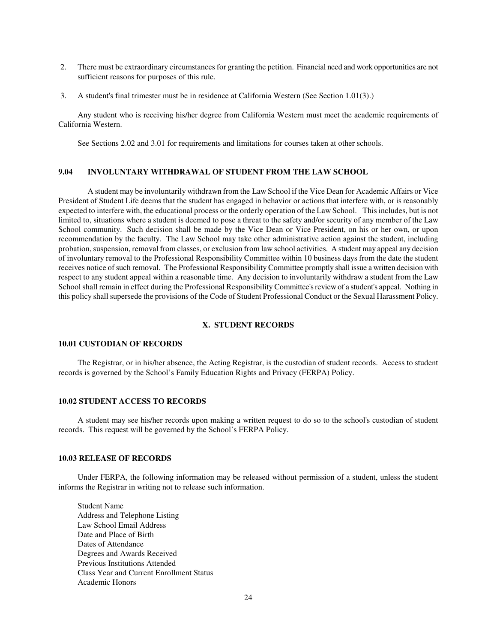- 2. There must be extraordinary circumstances for granting the petition. Financial need and work opportunities are not sufficient reasons for purposes of this rule.
- 3. A student's final trimester must be in residence at California Western (See Section 1.01(3).)

Any student who is receiving his/her degree from California Western must meet the academic requirements of California Western.

See Sections 2.02 and 3.01 for requirements and limitations for courses taken at other schools.

#### **9.04 INVOLUNTARY WITHDRAWAL OF STUDENT FROM THE LAW SCHOOL**

 A student may be involuntarily withdrawn from the Law School if the Vice Dean for Academic Affairs or Vice President of Student Life deems that the student has engaged in behavior or actions that interfere with, or is reasonably expected to interfere with, the educational process or the orderly operation of the Law School. This includes, but is not limited to, situations where a student is deemed to pose a threat to the safety and/or security of any member of the Law School community. Such decision shall be made by the Vice Dean or Vice President, on his or her own, or upon recommendation by the faculty. The Law School may take other administrative action against the student, including probation, suspension, removal from classes, or exclusion from law school activities. A student may appeal any decision of involuntary removal to the Professional Responsibility Committee within 10 business days from the date the student receives notice of such removal. The Professional Responsibility Committee promptly shall issue a written decision with respect to any student appeal within a reasonable time. Any decision to involuntarily withdraw a student from the Law School shall remain in effect during the Professional Responsibility Committee's review of a student's appeal. Nothing in this policy shall supersede the provisions of the Code of Student Professional Conduct or the Sexual Harassment Policy.

#### **X. STUDENT RECORDS**

# **10.01 CUSTODIAN OF RECORDS**

The Registrar, or in his/her absence, the Acting Registrar, is the custodian of student records. Access to student records is governed by the School's Family Education Rights and Privacy (FERPA) Policy.

## **10.02 STUDENT ACCESS TO RECORDS**

A student may see his/her records upon making a written request to do so to the school's custodian of student records. This request will be governed by the School's FERPA Policy.

#### **10.03 RELEASE OF RECORDS**

Under FERPA, the following information may be released without permission of a student, unless the student informs the Registrar in writing not to release such information.

Student Name Address and Telephone Listing Law School Email Address Date and Place of Birth Dates of Attendance Degrees and Awards Received Previous Institutions Attended Class Year and Current Enrollment Status Academic Honors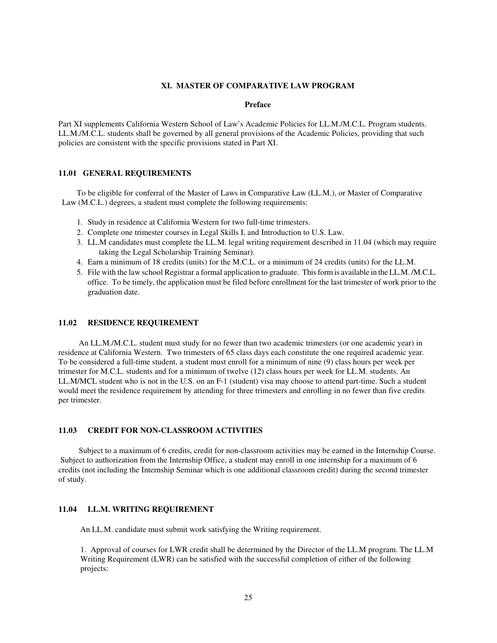## **XI. MASTER OF COMPARATIVE LAW PROGRAM**

#### **Preface**

Part XI supplements California Western School of Law's Academic Policies for LL.M./M.C.L. Program students. LL.M./M.C.L. students shall be governed by all general provisions of the Academic Policies, providing that such policies are consistent with the specific provisions stated in Part XI.

## **11.01 GENERAL REQUIREMENTS**

 To be eligible for conferral of the Master of Laws in Comparative Law (LL.M.), or Master of Comparative Law (M.C.L.) degrees, a student must complete the following requirements:

- 1. Study in residence at California Western for two full-time trimesters.
- 2. Complete one trimester courses in Legal Skills I, and Introduction to U.S. Law.
- 3. LL.M candidates must complete the LL.M. legal writing requirement described in 11.04 (which may require taking the Legal Scholarship Training Seminar).
- 4. Earn a minimum of 18 credits (units) for the M.C.L. or a minimum of 24 credits (units) for the LL.M.
- 5. File with the law school Registrar a formal application to graduate. This form is available in the LL.M. /M.C.L. office. To be timely, the application must be filed before enrollment for the last trimester of work prior to the graduation date.

#### **11.02 RESIDENCE REQUIREMENT**

 An LL.M./M.C.L. student must study for no fewer than two academic trimesters (or one academic year) in residence at California Western. Two trimesters of 65 class days each constitute the one required academic year. To be considered a full-time student, a student must enroll for a minimum of nine (9) class hours per week per trimester for M.C.L. students and for a minimum of twelve (12) class hours per week for LL.M. students. An LL.M/MCL student who is not in the U.S. on an F-1 (student) visa may choose to attend part-time. Such a student would meet the residence requirement by attending for three trimesters and enrolling in no fewer than five credits per trimester.

## **11.03 CREDIT FOR NON-CLASSROOM ACTIVITIES**

 Subject to a maximum of 6 credits, credit for non-classroom activities may be earned in the Internship Course. Subject to authorization from the Internship Office, a student may enroll in one internship for a maximum of 6 credits (not including the Internship Seminar which is one additional classroom credit) during the second trimester of study.

# **11.04 LL.M. WRITING REQUIREMENT**

An LL.M. candidate must submit work satisfying the Writing requirement.

1. Approval of courses for LWR credit shall be determined by the Director of the LL.M program. The LL.M Writing Requirement (LWR) can be satisfied with the successful completion of either of the following projects: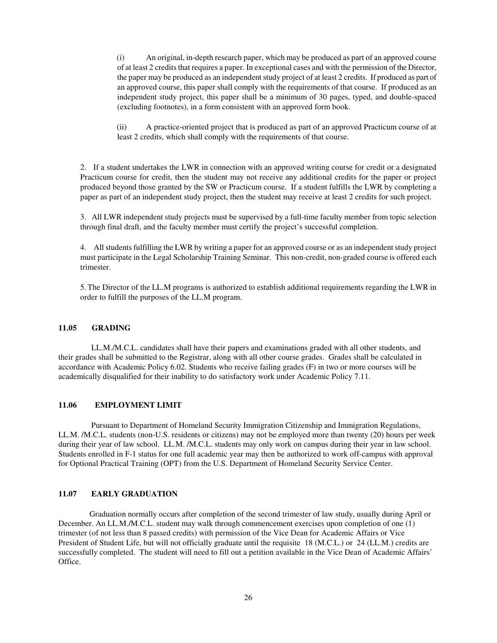(i) An original, in-depth research paper, which may be produced as part of an approved course of at least 2 credits that requires a paper. In exceptional cases and with the permission of the Director, the paper may be produced as an independent study project of at least 2 credits. If produced as part of an approved course, this paper shall comply with the requirements of that course. If produced as an independent study project, this paper shall be a minimum of 30 pages, typed, and double-spaced (excluding footnotes), in a form consistent with an approved form book.

(ii) A practice-oriented project that is produced as part of an approved Practicum course of at least 2 credits, which shall comply with the requirements of that course.

2. If a student undertakes the LWR in connection with an approved writing course for credit or a designated Practicum course for credit, then the student may not receive any additional credits for the paper or project produced beyond those granted by the SW or Practicum course. If a student fulfills the LWR by completing a paper as part of an independent study project, then the student may receive at least 2 credits for such project.

3. All LWR independent study projects must be supervised by a full-time faculty member from topic selection through final draft, and the faculty member must certify the project's successful completion.

4. All students fulfilling the LWR by writing a paper for an approved course or as an independent study project must participate in the Legal Scholarship Training Seminar. This non-credit, non-graded course is offered each trimester.

5.The Director of the LL.M programs is authorized to establish additional requirements regarding the LWR in order to fulfill the purposes of the LL.M program.

#### **11.05 GRADING**

 LL.M./M.C.L. candidates shall have their papers and examinations graded with all other students, and their grades shall be submitted to the Registrar, along with all other course grades. Grades shall be calculated in accordance with Academic Policy 6.02. Students who receive failing grades (F) in two or more courses will be academically disqualified for their inability to do satisfactory work under Academic Policy 7.11.

#### **11.06 EMPLOYMENT LIMIT**

Pursuant to Department of Homeland Security Immigration Citizenship and Immigration Regulations, LL.M. /M.C.L. students (non-U.S. residents or citizens) may not be employed more than twenty (20) hours per week during their year of law school. LL.M. /M.C.L. students may only work on campus during their year in law school. Students enrolled in F-1 status for one full academic year may then be authorized to work off-campus with approval for Optional Practical Training (OPT) from the U.S. Department of Homeland Security Service Center.

# **11.07 EARLY GRADUATION**

 Graduation normally occurs after completion of the second trimester of law study, usually during April or December. An LL.M./M.C.L. student may walk through commencement exercises upon completion of one (1) trimester (of not less than 8 passed credits) with permission of the Vice Dean for Academic Affairs or Vice President of Student Life, but will not officially graduate until the requisite 18 (M.C.L.) or 24 (LL.M.) credits are successfully completed. The student will need to fill out a petition available in the Vice Dean of Academic Affairs' Office.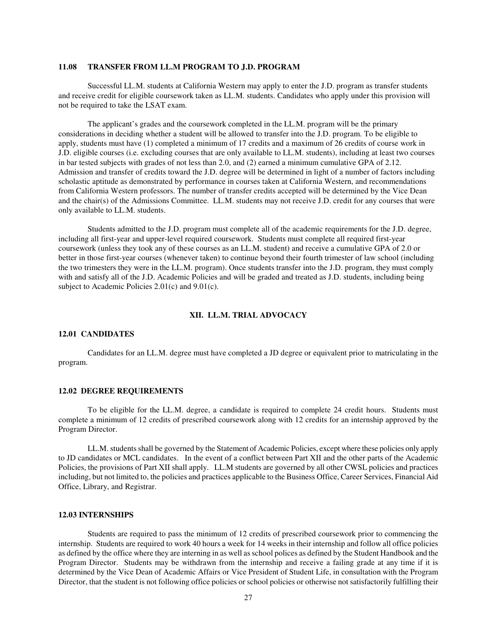## **11.08 TRANSFER FROM LL.M PROGRAM TO J.D. PROGRAM**

Successful LL.M. students at California Western may apply to enter the J.D. program as transfer students and receive credit for eligible coursework taken as LL.M. students. Candidates who apply under this provision will not be required to take the LSAT exam.

The applicant's grades and the coursework completed in the LL.M. program will be the primary considerations in deciding whether a student will be allowed to transfer into the J.D. program. To be eligible to apply, students must have (1) completed a minimum of 17 credits and a maximum of 26 credits of course work in J.D. eligible courses (i.e. excluding courses that are only available to LL.M. students), including at least two courses in bar tested subjects with grades of not less than 2.0, and (2) earned a minimum cumulative GPA of 2.12. Admission and transfer of credits toward the J.D. degree will be determined in light of a number of factors including scholastic aptitude as demonstrated by performance in courses taken at California Western, and recommendations from California Western professors. The number of transfer credits accepted will be determined by the Vice Dean and the chair(s) of the Admissions Committee. LL.M. students may not receive J.D. credit for any courses that were only available to LL.M. students.

Students admitted to the J.D. program must complete all of the academic requirements for the J.D. degree, including all first-year and upper-level required coursework. Students must complete all required first-year coursework (unless they took any of these courses as an LL.M. student) and receive a cumulative GPA of 2.0 or better in those first-year courses (whenever taken) to continue beyond their fourth trimester of law school (including the two trimesters they were in the LL.M. program). Once students transfer into the J.D. program, they must comply with and satisfy all of the J.D. Academic Policies and will be graded and treated as J.D. students, including being subject to Academic Policies 2.01(c) and 9.01(c).

#### **XII. LL.M. TRIAL ADVOCACY**

#### **12.01 CANDIDATES**

 Candidates for an LL.M. degree must have completed a JD degree or equivalent prior to matriculating in the program.

#### **12.02 DEGREE REQUIREMENTS**

 To be eligible for the LL.M. degree, a candidate is required to complete 24 credit hours. Students must complete a minimum of 12 credits of prescribed coursework along with 12 credits for an internship approved by the Program Director.

 LL.M. students shall be governed by the Statement of Academic Policies, except where these policies only apply to JD candidates or MCL candidates. In the event of a conflict between Part XII and the other parts of the Academic Policies, the provisions of Part XII shall apply. LL.M students are governed by all other CWSL policies and practices including, but not limited to, the policies and practices applicable to the Business Office, Career Services, Financial Aid Office, Library, and Registrar.

#### **12.03 INTERNSHIPS**

 Students are required to pass the minimum of 12 credits of prescribed coursework prior to commencing the internship. Students are required to work 40 hours a week for 14 weeks in their internship and follow all office policies as defined by the office where they are interning in as well as school polices as defined by the Student Handbook and the Program Director. Students may be withdrawn from the internship and receive a failing grade at any time if it is determined by the Vice Dean of Academic Affairs or Vice President of Student Life, in consultation with the Program Director, that the student is not following office policies or school policies or otherwise not satisfactorily fulfilling their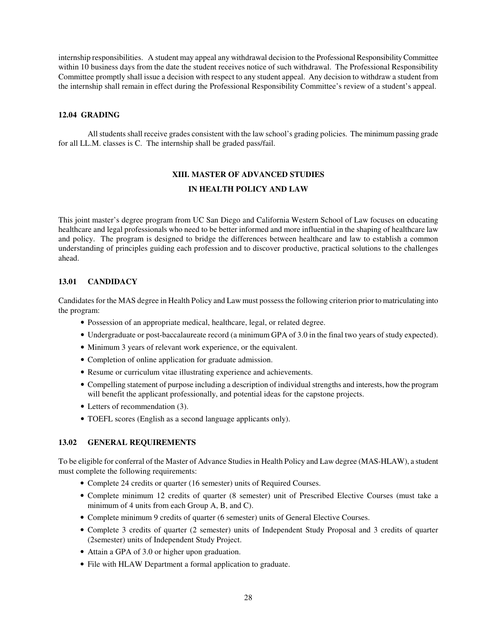internship responsibilities. A student may appeal any withdrawal decision to the Professional Responsibility Committee within 10 business days from the date the student receives notice of such withdrawal. The Professional Responsibility Committee promptly shall issue a decision with respect to any student appeal. Any decision to withdraw a student from the internship shall remain in effect during the Professional Responsibility Committee's review of a student's appeal.

#### **12.04 GRADING**

 All students shall receive grades consistent with the law school's grading policies. The minimum passing grade for all LL.M. classes is C. The internship shall be graded pass/fail.

# **XIII. MASTER OF ADVANCED STUDIES IN HEALTH POLICY AND LAW**

This joint master's degree program from UC San Diego and California Western School of Law focuses on educating healthcare and legal professionals who need to be better informed and more influential in the shaping of healthcare law and policy. The program is designed to bridge the differences between healthcare and law to establish a common understanding of principles guiding each profession and to discover productive, practical solutions to the challenges ahead.

## **13.01 CANDIDACY**

Candidates for the MAS degree in Health Policy and Law must possess the following criterion prior to matriculating into the program:

- Possession of an appropriate medical, healthcare, legal, or related degree.
- Undergraduate or post-baccalaureate record (a minimum GPA of 3.0 in the final two years of study expected).
- Minimum 3 years of relevant work experience, or the equivalent.
- Completion of online application for graduate admission.
- Resume or curriculum vitae illustrating experience and achievements.
- Compelling statement of purpose including a description of individual strengths and interests, how the program will benefit the applicant professionally, and potential ideas for the capstone projects.
- Letters of recommendation (3).
- TOEFL scores (English as a second language applicants only).

# **13.02 GENERAL REQUIREMENTS**

To be eligible for conferral of the Master of Advance Studies in Health Policy and Law degree (MAS-HLAW), a student must complete the following requirements:

- Complete 24 credits or quarter (16 semester) units of Required Courses.
- Complete minimum 12 credits of quarter (8 semester) unit of Prescribed Elective Courses (must take a minimum of 4 units from each Group A, B, and C).
- Complete minimum 9 credits of quarter (6 semester) units of General Elective Courses.
- Complete 3 credits of quarter (2 semester) units of Independent Study Proposal and 3 credits of quarter (2semester) units of Independent Study Project.
- Attain a GPA of 3.0 or higher upon graduation.
- File with HLAW Department a formal application to graduate.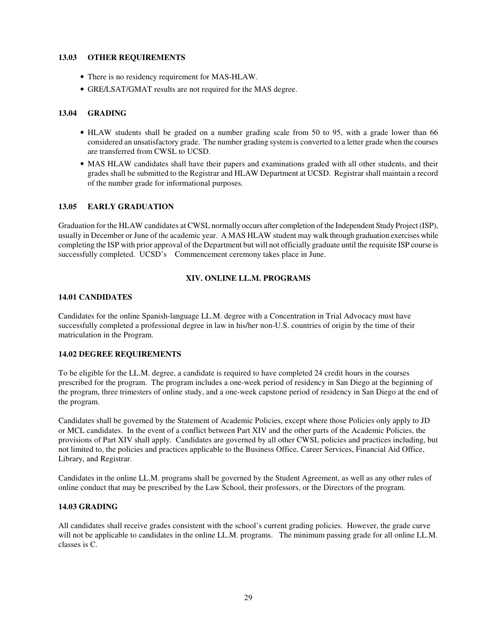### **13.03 OTHER REQUIREMENTS**

- There is no residency requirement for MAS-HLAW.
- GRE/LSAT/GMAT results are not required for the MAS degree.

# **13.04 GRADING**

- HLAW students shall be graded on a number grading scale from 50 to 95, with a grade lower than 66 considered an unsatisfactory grade. The number grading system is converted to a letter grade when the courses are transferred from CWSL to UCSD.
- MAS HLAW candidates shall have their papers and examinations graded with all other students, and their grades shall be submitted to the Registrar and HLAW Department at UCSD. Registrar shall maintain a record of the number grade for informational purposes.

## **13.05 EARLY GRADUATION**

Graduation for the HLAW candidates at CWSL normally occurs after completion of the Independent Study Project (ISP), usually in December or June of the academic year. A MAS HLAW student may walk through graduation exercises while completing the ISP with prior approval of the Department but will not officially graduate until the requisite ISP course is successfully completed. UCSD's Commencement ceremony takes place in June.

# **XIV. ONLINE LL.M. PROGRAMS**

# **14.01 CANDIDATES**

Candidates for the online Spanish-language LL.M. degree with a Concentration in Trial Advocacy must have successfully completed a professional degree in law in his/her non-U.S. countries of origin by the time of their matriculation in the Program.

#### **14.02 DEGREE REQUIREMENTS**

To be eligible for the LL.M. degree, a candidate is required to have completed 24 credit hours in the courses prescribed for the program. The program includes a one-week period of residency in San Diego at the beginning of the program, three trimesters of online study, and a one-week capstone period of residency in San Diego at the end of the program.

Candidates shall be governed by the Statement of Academic Policies, except where those Policies only apply to JD or MCL candidates. In the event of a conflict between Part XIV and the other parts of the Academic Policies, the provisions of Part XIV shall apply. Candidates are governed by all other CWSL policies and practices including, but not limited to, the policies and practices applicable to the Business Office, Career Services, Financial Aid Office, Library, and Registrar.

Candidates in the online LL.M. programs shall be governed by the Student Agreement, as well as any other rules of online conduct that may be prescribed by the Law School, their professors, or the Directors of the program.

# **14.03 GRADING**

All candidates shall receive grades consistent with the school's current grading policies. However, the grade curve will not be applicable to candidates in the online LL.M. programs. The minimum passing grade for all online LL.M. classes is C.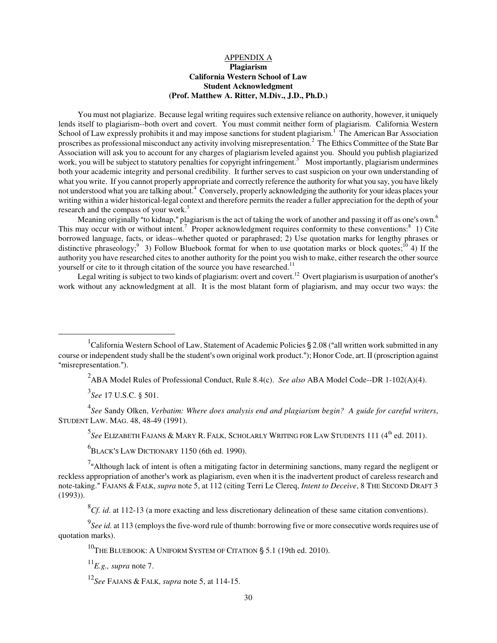# APPENDIX A **Plagiarism California Western School of Law Student Acknowledgment (Prof. Matthew A. Ritter, M.Div., J.D., Ph.D.)**

You must not plagiarize. Because legal writing requires such extensive reliance on authority, however, it uniquely lends itself to plagiarism--both overt and covert. You must commit neither form of plagiarism. California Western School of Law expressly prohibits it and may impose sanctions for student plagiarism.<sup>1</sup> The American Bar Association proscribes as professional misconduct any activity involving misrepresentation.<sup>2</sup> The Ethics Committee of the State Bar Association will ask you to account for any charges of plagiarism leveled against you. Should you publish plagiarized work, you will be subject to statutory penalties for copyright infringement.<sup>3</sup> Most importantly, plagiarism undermines both your academic integrity and personal credibility. It further serves to cast suspicion on your own understanding of what you write. If you cannot properly appropriate and correctly reference the authority for what you say, you have likely not understood what you are talking about.<sup>4</sup> Conversely, properly acknowledging the authority for your ideas places your writing within a wider historical-legal context and therefore permits the reader a fuller appreciation for the depth of your research and the compass of your work.<sup>5</sup>

Meaning originally "to kidnap," plagiarism is the act of taking the work of another and passing it off as one's own.<sup>6</sup> This may occur with or without intent.<sup>7</sup> Proper acknowledgment requires conformity to these conventions:<sup>8</sup> 1) Cite borrowed language, facts, or ideas--whether quoted or paraphrased; 2) Use quotation marks for lengthy phrases or distinctive phraseology;<sup>9</sup> 3) Follow Bluebook format for when to use quotation marks or block quotes;<sup>10</sup> 4) If the authority you have researched cites to another authority for the point you wish to make, either research the other source yourself or cite to it through citation of the source you have researched.<sup>11</sup>

Legal writing is subject to two kinds of plagiarism: overt and covert.<sup>12</sup> Overt plagiarism is usurpation of another's work without any acknowledgment at all. It is the most blatant form of plagiarism, and may occur two ways: the

2 ABA Model Rules of Professional Conduct, Rule 8.4(c). *See also* ABA Model Code--DR 1-102(A)(4).

3 *See* 17 U.S.C. § 501.

l

4 *See* Sandy Olken, *Verbatim: Where does analysis end and plagiarism begin? A guide for careful writers*, STUDENT LAW. MAG. 48, 48-49 (1991).

<sup>5</sup>See Elizabeth Fajans & Mary R. Falk, Scholarly Writing for Law Students 111 (4<sup>th</sup> ed. 2011).

 $^{6}$ BLACK'S LAW DICTIONARY 1150 (6th ed. 1990).

 $7<sup>a</sup>$ Although lack of intent is often a mitigating factor in determining sanctions, many regard the negligent or reckless appropriation of another's work as plagiarism, even when it is the inadvertent product of careless research and note-taking.@ FAJANS & FALK, *supra* note 5, at 112 (citing Terri Le Clereq, *Intent to Deceive*, 8 THE SECOND DRAFT 3 (1993)).

 ${}^{8}Cf$ . *id*. at 112-13 (a more exacting and less discretionary delineation of these same citation conventions).

<sup>9</sup>See id. at 113 (employs the five-word rule of thumb: borrowing five or more consecutive words requires use of quotation marks).

 $10$ THE BLUEBOOK: A UNIFORM SYSTEM OF CITATION § 5.1 (19th ed. 2010).

 $^{11}E.g., \text{ supra note 7}.$ 

<sup>12</sup>*See* FAJANS & FALK, *supra* note 5, at 114-15.

<sup>&</sup>lt;sup>1</sup>California Western School of Law, Statement of Academic Policies § 2.08 ("all written work submitted in any course or independent study shall be the student's own original work product."); Honor Code, art. II (proscription against "misrepresentation.").